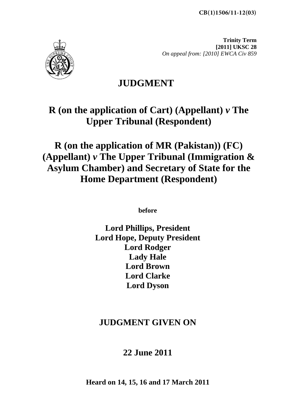**CB(1)1506/11-12(03)**



**Trinity Term [2011] UKSC 28**  *On appeal from: [2010] EWCA Civ 859* 

# **JUDGMENT**

# **R (on the application of Cart) (Appellant)** *v* **The Upper Tribunal (Respondent)**

# **R (on the application of MR (Pakistan)) (FC) (Appellant)** *v* **The Upper Tribunal (Immigration & Asylum Chamber) and Secretary of State for the Home Department (Respondent)**

**before** 

**Lord Phillips, President Lord Hope, Deputy President Lord Rodger Lady Hale Lord Brown Lord Clarke Lord Dyson**

# **JUDGMENT GIVEN ON**

# **22 June 2011**

**Heard on 14, 15, 16 and 17 March 2011**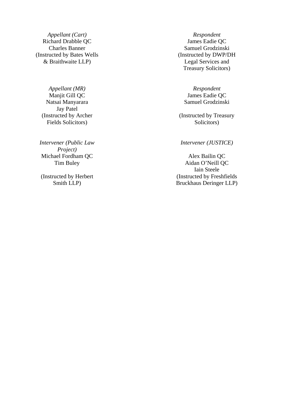Richard Drabble QC James Eadie QC (Instructed by Bates Wells & Braithwaite LLP)

*Appellant (MR) Respondent*  Natsai Manyarara Jay Patel (Instructed by Archer Fields Solicitors)

*Intervener (Public Law Project)*  Michael Fordham QC Alex Bailin QC

(Instructed by Herbert Smith LLP)

*Appellant (Cart) Respondent*  Charles Banner Samuel Grodzinski (Instructed by DWP/DH Legal Services and Treasury Solicitors)

Manjit Gill QC James Eadie QC Samuel Grodzinski

> (Instructed by Treasury Solicitors)

#### *Intervener (JUSTICE)*

Tim Buley Aidan O'Neill QC Iain Steele (Instructed by Freshfields Bruckhaus Deringer LLP)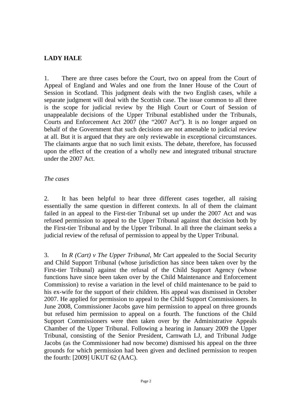#### **LADY HALE**

1. There are three cases before the Court, two on appeal from the Court of Appeal of England and Wales and one from the Inner House of the Court of Session in Scotland. This judgment deals with the two English cases, while a separate judgment will deal with the Scottish case. The issue common to all three is the scope for judicial review by the High Court or Court of Session of unappealable decisions of the Upper Tribunal established under the Tribunals, Courts and Enforcement Act 2007 (the "2007 Act"). It is no longer argued on behalf of the Government that such decisions are not amenable to judicial review at all. But it is argued that they are only reviewable in exceptional circumstances. The claimants argue that no such limit exists. The debate, therefore, has focussed upon the effect of the creation of a wholly new and integrated tribunal structure under the 2007 Act.

#### *The cases*

2. It has been helpful to hear three different cases together, all raising essentially the same question in different contexts. In all of them the claimant failed in an appeal to the First-tier Tribunal set up under the 2007 Act and was refused permission to appeal to the Upper Tribunal against that decision both by the First-tier Tribunal and by the Upper Tribunal. In all three the claimant seeks a judicial review of the refusal of permission to appeal by the Upper Tribunal.

3. In *R (Cart) v The Upper Tribunal*, Mr Cart appealed to the Social Security and Child Support Tribunal (whose jurisdiction has since been taken over by the First-tier Tribunal) against the refusal of the Child Support Agency (whose functions have since been taken over by the Child Maintenance and Enforcement Commission) to revise a variation in the level of child maintenance to be paid to his ex-wife for the support of their children. His appeal was dismissed in October 2007. He applied for permission to appeal to the Child Support Commissioners. In June 2008, Commissioner Jacobs gave him permission to appeal on three grounds but refused him permission to appeal on a fourth. The functions of the Child Support Commissioners were then taken over by the Administrative Appeals Chamber of the Upper Tribunal. Following a hearing in January 2009 the Upper Tribunal, consisting of the Senior President, Carnwath LJ, and Tribunal Judge Jacobs (as the Commissioner had now become) dismissed his appeal on the three grounds for which permission had been given and declined permission to reopen the fourth: [2009] UKUT 62 (AAC).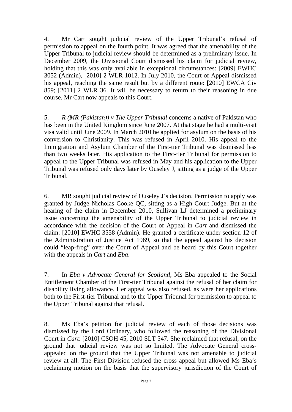4. Mr Cart sought judicial review of the Upper Tribunal's refusal of permission to appeal on the fourth point. It was agreed that the amenability of the Upper Tribunal to judicial review should be determined as a preliminary issue. In December 2009, the Divisional Court dismissed his claim for judicial review, holding that this was only available in exceptional circumstances: [2009] EWHC 3052 (Admin), [2010] 2 WLR 1012. In July 2010, the Court of Appeal dismissed his appeal, reaching the same result but by a different route: [2010] EWCA Civ 859; [2011] 2 WLR 36. It will be necessary to return to their reasoning in due course. Mr Cart now appeals to this Court.

5. *R (MR (Pakistan)) v The Upper Tribunal* concerns a native of Pakistan who has been in the United Kingdom since June 2007. At that stage he had a multi-visit visa valid until June 2009. In March 2010 he applied for asylum on the basis of his conversion to Christianity. This was refused in April 2010. His appeal to the Immigration and Asylum Chamber of the First-tier Tribunal was dismissed less than two weeks later. His application to the First-tier Tribunal for permission to appeal to the Upper Tribunal was refused in May and his application to the Upper Tribunal was refused only days later by Ouseley J, sitting as a judge of the Upper Tribunal.

6. MR sought judicial review of Ouseley J's decision. Permission to apply was granted by Judge Nicholas Cooke QC, sitting as a High Court Judge. But at the hearing of the claim in December 2010, Sullivan LJ determined a preliminary issue concerning the amenability of the Upper Tribunal to judicial review in accordance with the decision of the Court of Appeal in *Cart* and dismissed the claim: [2010] EWHC 3558 (Admin). He granted a certificate under section 12 of the Administration of Justice Act 1969, so that the appeal against his decision could "leap-frog" over the Court of Appeal and be heard by this Court together with the appeals in *Cart* and *Eba*.

7. In *Eba v Advocate General for Scotland*, Ms Eba appealed to the Social Entitlement Chamber of the First-tier Tribunal against the refusal of her claim for disability living allowance. Her appeal was also refused, as were her applications both to the First-tier Tribunal and to the Upper Tribunal for permission to appeal to the Upper Tribunal against that refusal.

8. Ms Eba's petition for judicial review of each of those decisions was dismissed by the Lord Ordinary, who followed the reasoning of the Divisional Court in *Cart*: [2010] CSOH 45, 2010 SLT 547. She reclaimed that refusal, on the ground that judicial review was not so limited. The Advocate General crossappealed on the ground that the Upper Tribunal was not amenable to judicial review at all. The First Division refused the cross appeal but allowed Ms Eba's reclaiming motion on the basis that the supervisory jurisdiction of the Court of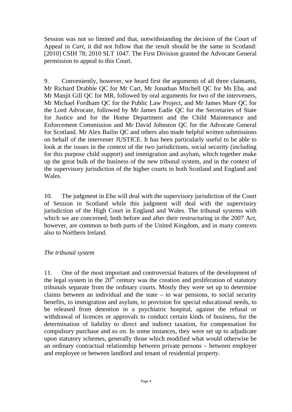Session was not so limited and that, notwithstanding the decision of the Court of Appeal in *Cart*, it did not follow that the result should be the same in Scotland: [2010] CSIH 78; 2010 SLT 1047. The First Division granted the Advocate General permission to appeal to this Court.

9. Conveniently, however, we heard first the arguments of all three claimants, Mr Richard Drabble QC for Mr Cart, Mr Jonathan Mitchell QC for Ms Eba, and Mr Manjit Gill OC for MR, followed by oral arguments for two of the interveners, Mr Michael Fordham QC for the Public Law Project, and Mr James Mure QC for the Lord Advocate, followed by Mr James Eadie QC for the Secretaries of State for Justice and for the Home Department and the Child Maintenance and Enforcement Commission and Mr David Johnston QC for the Advocate General for Scotland. Mr Alex Bailin QC and others also made helpful written submissions on behalf of the intervener JUSTICE. It has been particularly useful to be able to look at the issues in the context of the two jurisdictions, social security (including for this purpose child support) and immigration and asylum, which together make up the great bulk of the business of the new tribunal system, and in the context of the supervisory jurisdiction of the higher courts in both Scotland and England and Wales.

10. The judgment in *Eba* will deal with the supervisory jurisdiction of the Court of Session in Scotland while this judgment will deal with the supervisory jurisdiction of the High Court in England and Wales. The tribunal systems with which we are concerned, both before and after their restructuring in the 2007 Act, however, are common to both parts of the United Kingdom, and in many contexts also to Northern Ireland.

#### *The tribunal system*

11. One of the most important and controversial features of the development of the legal system in the  $20<sup>th</sup>$  century was the creation and proliferation of statutory tribunals separate from the ordinary courts. Mostly they were set up to determine claims between an individual and the state – to war pensions, to social security benefits, to immigration and asylum, to provision for special educational needs, to be released from detention in a psychiatric hospital, against the refusal or withdrawal of licences or approvals to conduct certain kinds of business, for the determination of liability to direct and indirect taxation, for compensation for compulsory purchase and so on. In some instances, they were set up to adjudicate upon statutory schemes, generally those which modified what would otherwise be an ordinary contractual relationship between private persons – between employer and employee or between landlord and tenant of residential property.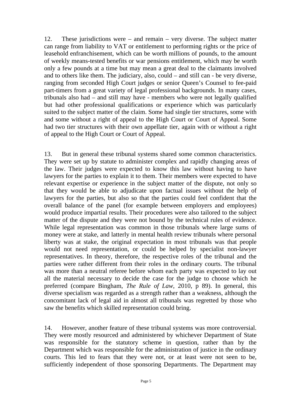12. These jurisdictions were – and remain – very diverse. The subject matter can range from liability to VAT or entitlement to performing rights or the price of leasehold enfranchisement, which can be worth millions of pounds, to the amount of weekly means-tested benefits or war pensions entitlement, which may be worth only a few pounds at a time but may mean a great deal to the claimants involved and to others like them. The judiciary, also, could – and still can - be very diverse, ranging from seconded High Court judges or senior Queen's Counsel to fee-paid part-timers from a great variety of legal professional backgrounds. In many cases, tribunals also had – and still may have - members who were not legally qualified but had other professional qualifications or experience which was particularly suited to the subject matter of the claim. Some had single tier structures, some with and some without a right of appeal to the High Court or Court of Appeal. Some had two tier structures with their own appellate tier, again with or without a right of appeal to the High Court or Court of Appeal.

13. But in general these tribunal systems shared some common characteristics. They were set up by statute to administer complex and rapidly changing areas of the law. Their judges were expected to know this law without having to have lawyers for the parties to explain it to them. Their members were expected to have relevant expertise or experience in the subject matter of the dispute, not only so that they would be able to adjudicate upon factual issues without the help of lawyers for the parties, but also so that the parties could feel confident that the overall balance of the panel (for example between employers and employees) would produce impartial results. Their procedures were also tailored to the subject matter of the dispute and they were not bound by the technical rules of evidence. While legal representation was common in those tribunals where large sums of money were at stake, and latterly in mental health review tribunals where personal liberty was at stake, the original expectation in most tribunals was that people would not need representation, or could be helped by specialist non-lawyer representatives. In theory, therefore, the respective roles of the tribunal and the parties were rather different from their roles in the ordinary courts. The tribunal was more than a neutral referee before whom each party was expected to lay out all the material necessary to decide the case for the judge to choose which he preferred (compare Bingham, *The Rule of Law*, 2010, p 89). In general, this diverse specialism was regarded as a strength rather than a weakness, although the concomitant lack of legal aid in almost all tribunals was regretted by those who saw the benefits which skilled representation could bring.

14. However, another feature of these tribunal systems was more controversial. They were mostly resourced and administered by whichever Department of State was responsible for the statutory scheme in question, rather than by the Department which was responsible for the administration of justice in the ordinary courts. This led to fears that they were not, or at least were not seen to be, sufficiently independent of those sponsoring Departments. The Department may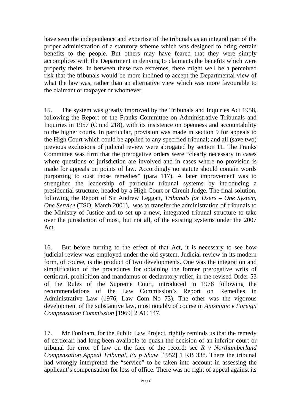have seen the independence and expertise of the tribunals as an integral part of the proper administration of a statutory scheme which was designed to bring certain benefits to the people. But others may have feared that they were simply accomplices with the Department in denying to claimants the benefits which were properly theirs. In between these two extremes, there might well be a perceived risk that the tribunals would be more inclined to accept the Departmental view of what the law was, rather than an alternative view which was more favourable to the claimant or taxpayer or whomever.

15. The system was greatly improved by the Tribunals and Inquiries Act 1958, following the Report of the Franks Committee on Administrative Tribunals and Inquiries in 1957 (Cmnd 218), with its insistence on openness and accountability to the higher courts. In particular, provision was made in section 9 for appeals to the High Court which could be applied to any specified tribunal; and all (save two) previous exclusions of judicial review were abrogated by section 11. The Franks Committee was firm that the prerogative orders were "clearly necessary in cases where questions of jurisdiction are involved and in cases where no provision is made for appeals on points of law. Accordingly no statute should contain words purporting to oust those remedies" (para 117). A later improvement was to strengthen the leadership of particular tribunal systems by introducing a presidential structure, headed by a High Court or Circuit Judge. The final solution, following the Report of Sir Andrew Leggatt, *Tribunals for Users – One System, One Service* (TSO, March 2001), was to transfer the administration of tribunals to the Ministry of Justice and to set up a new, integrated tribunal structure to take over the jurisdiction of most, but not all, of the existing systems under the 2007 Act.

16. But before turning to the effect of that Act, it is necessary to see how judicial review was employed under the old system. Judicial review in its modern form, of course, is the product of two developments. One was the integration and simplification of the procedures for obtaining the former prerogative writs of certiorari, prohibition and mandamus or declaratory relief, in the revised Order 53 of the Rules of the Supreme Court, introduced in 1978 following the recommendations of the Law Commission's Report on Remedies in Administrative Law (1976, Law Com No 73). The other was the vigorous development of the substantive law, most notably of course in *Anisminic v Foreign Compensation Commission* [1969] 2 AC 147.

17. Mr Fordham, for the Public Law Project, rightly reminds us that the remedy of certiorari had long been available to quash the decision of an inferior court or tribunal for error of law on the face of the record: see *R v Northumberland Compensation Appeal Tribunal, Ex p Shaw* [1952] 1 KB 338. There the tribunal had wrongly interpreted the "service" to be taken into account in assessing the applicant's compensation for loss of office. There was no right of appeal against its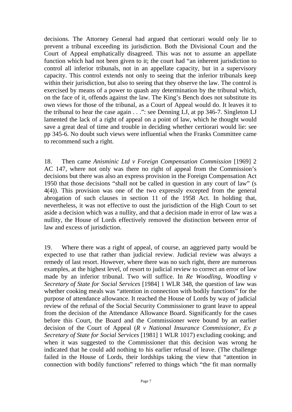decisions. The Attorney General had argued that certiorari would only lie to prevent a tribunal exceeding its jurisdiction. Both the Divisional Court and the Court of Appeal emphatically disagreed. This was not to assume an appellate function which had not been given to it; the court had "an inherent jurisdiction to control all inferior tribunals, not in an appellate capacity, but in a supervisory capacity. This control extends not only to seeing that the inferior tribunals keep within their jurisdiction, but also to seeing that they observe the law. The control is exercised by means of a power to quash any determination by the tribunal which, on the face of it, offends against the law. The King's Bench does not substitute its own views for those of the tribunal, as a Court of Appeal would do. It leaves it to the tribunal to hear the case again . . .": see Denning LJ, at pp 346-7. Singleton LJ lamented the lack of a right of appeal on a point of law, which he thought would save a great deal of time and trouble in deciding whether certiorari would lie: see pp 345-6. No doubt such views were influential when the Franks Committee came to recommend such a right.

18. Then came *Anisminic Ltd v Foreign Compensation Commission* [1969] 2 AC 147, where not only was there no right of appeal from the Commission's decisions but there was also an express provision in the Foreign Compensation Act 1950 that those decisions "shall not be called in question in any court of law" (s 4(4)). This provision was one of the two expressly excepted from the general abrogation of such clauses in section 11 of the 1958 Act. In holding that, nevertheless, it was not effective to oust the jurisdiction of the High Court to set aside a decision which was a nullity, and that a decision made in error of law was a nullity, the House of Lords effectively removed the distinction between error of law and excess of jurisdiction.

19. Where there was a right of appeal, of course, an aggrieved party would be expected to use that rather than judicial review. Judicial review was always a remedy of last resort. However, where there was no such right, there are numerous examples, at the highest level, of resort to judicial review to correct an error of law made by an inferior tribunal. Two will suffice. In *Re Woodling, Woodling v Secretary of State for Social Services* [1984] 1 WLR 348, the question of law was whether cooking meals was "attention in connection with bodily functions" for the purpose of attendance allowance. It reached the House of Lords by way of judicial review of the refusal of the Social Security Commissioner to grant leave to appeal from the decision of the Attendance Allowance Board. Significantly for the cases before this Court, the Board and the Commissioner were bound by an earlier decision of the Court of Appeal (*R v National Insurance Commissioner, Ex p Secretary of State for Social Services* [1981] 1 WLR 1017) excluding cooking; and when it was suggested to the Commissioner that this decision was wrong he indicated that he could add nothing to his earlier refusal of leave. (The challenge failed in the House of Lords, their lordships taking the view that "attention in connection with bodily functions" referred to things which "the fit man normally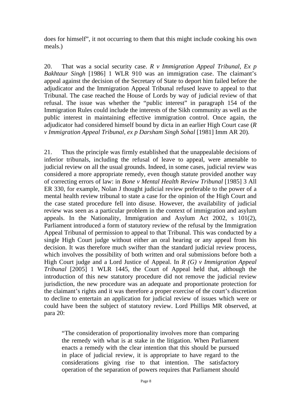does for himself", it not occurring to them that this might include cooking his own meals.)

20. That was a social security case. *R v Immigration Appeal Tribunal, Ex p Bakhtaur Singh* [1986] 1 WLR 910 was an immigration case. The claimant's appeal against the decision of the Secretary of State to deport him failed before the adjudicator and the Immigration Appeal Tribunal refused leave to appeal to that Tribunal. The case reached the House of Lords by way of judicial review of that refusal. The issue was whether the "public interest" in paragraph 154 of the Immigration Rules could include the interests of the Sikh community as well as the public interest in maintaining effective immigration control. Once again, the adjudicator had considered himself bound by dicta in an earlier High Court case (*R v Immigration Appeal Tribunal, ex p Darsham Singh Sohal* [1981] Imm AR 20).

21. Thus the principle was firmly established that the unappealable decisions of inferior tribunals, including the refusal of leave to appeal, were amenable to judicial review on all the usual grounds. Indeed, in some cases, judicial review was considered a more appropriate remedy, even though statute provided another way of correcting errors of law: in *Bone v Mental Health Review Tribunal* [1985] 3 All ER 330, for example, Nolan J thought judicial review preferable to the power of a mental health review tribunal to state a case for the opinion of the High Court and the case stated procedure fell into disuse. However, the availability of judicial review was seen as a particular problem in the context of immigration and asylum appeals. In the Nationality, Immigration and Asylum Act 2002, s 101(2), Parliament introduced a form of statutory review of the refusal by the Immigration Appeal Tribunal of permission to appeal to that Tribunal. This was conducted by a single High Court judge without either an oral hearing or any appeal from his decision. It was therefore much swifter than the standard judicial review process, which involves the possibility of both written and oral submissions before both a High Court judge and a Lord Justice of Appeal. In *R (G) v Immigration Appeal Tribunal* [2005] 1 WLR 1445, the Court of Appeal held that, although the introduction of this new statutory procedure did not remove the judicial review jurisdiction, the new procedure was an adequate and proportionate protection for the claimant's rights and it was therefore a proper exercise of the court's discretion to decline to entertain an application for judicial review of issues which were or could have been the subject of statutory review. Lord Phillips MR observed, at para 20:

"The consideration of proportionality involves more than comparing the remedy with what is at stake in the litigation. When Parliament enacts a remedy with the clear intention that this should be pursued in place of judicial review, it is appropriate to have regard to the considerations giving rise to that intention. The satisfactory operation of the separation of powers requires that Parliament should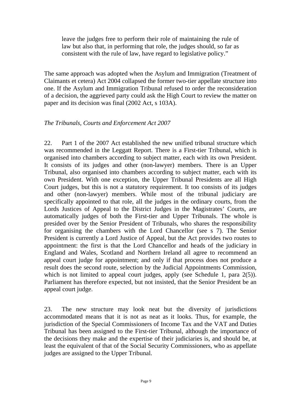leave the judges free to perform their role of maintaining the rule of law but also that, in performing that role, the judges should, so far as consistent with the rule of law, have regard to legislative policy."

The same approach was adopted when the Asylum and Immigration (Treatment of Claimants et cetera) Act 2004 collapsed the former two-tier appellate structure into one. If the Asylum and Immigration Tribunal refused to order the reconsideration of a decision, the aggrieved party could ask the High Court to review the matter on paper and its decision was final (2002 Act, s 103A).

#### *The Tribunals, Courts and Enforcement Act 2007*

22. Part 1 of the 2007 Act established the new unified tribunal structure which was recommended in the Leggatt Report. There is a First-tier Tribunal, which is organised into chambers according to subject matter, each with its own President. It consists of its judges and other (non-lawyer) members. There is an Upper Tribunal, also organised into chambers according to subject matter, each with its own President. With one exception, the Upper Tribunal Presidents are all High Court judges, but this is not a statutory requirement. It too consists of its judges and other (non-lawyer) members. While most of the tribunal judiciary are specifically appointed to that role, all the judges in the ordinary courts, from the Lords Justices of Appeal to the District Judges in the Magistrates' Courts, are automatically judges of both the First-tier and Upper Tribunals. The whole is presided over by the Senior President of Tribunals, who shares the responsibility for organising the chambers with the Lord Chancellor (see s 7). The Senior President is currently a Lord Justice of Appeal, but the Act provides two routes to appointment: the first is that the Lord Chancellor and heads of the judiciary in England and Wales, Scotland and Northern Ireland all agree to recommend an appeal court judge for appointment; and only if that process does not produce a result does the second route, selection by the Judicial Appointments Commission, which is not limited to appeal court judges, apply (see Schedule 1, para 2(5)). Parliament has therefore expected, but not insisted, that the Senior President be an appeal court judge.

23. The new structure may look neat but the diversity of jurisdictions accommodated means that it is not as neat as it looks. Thus, for example, the jurisdiction of the Special Commissioners of Income Tax and the VAT and Duties Tribunal has been assigned to the First-tier Tribunal, although the importance of the decisions they make and the expertise of their judiciaries is, and should be, at least the equivalent of that of the Social Security Commissioners, who as appellate judges are assigned to the Upper Tribunal.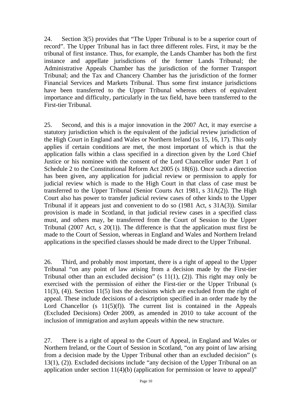24. Section 3(5) provides that "The Upper Tribunal is to be a superior court of record". The Upper Tribunal has in fact three different roles. First, it may be the tribunal of first instance. Thus, for example, the Lands Chamber has both the first instance and appellate jurisdictions of the former Lands Tribunal; the Administrative Appeals Chamber has the jurisdiction of the former Transport Tribunal; and the Tax and Chancery Chamber has the jurisdiction of the former Financial Services and Markets Tribunal. Thus some first instance jurisdictions have been transferred to the Upper Tribunal whereas others of equivalent importance and difficulty, particularly in the tax field, have been transferred to the First-tier Tribunal.

25. Second, and this is a major innovation in the 2007 Act, it may exercise a statutory jurisdiction which is the equivalent of the judicial review jurisdiction of the High Court in England and Wales or Northern Ireland (ss 15, 16, 17). This only applies if certain conditions are met, the most important of which is that the application falls within a class specified in a direction given by the Lord Chief Justice or his nominee with the consent of the Lord Chancellor under Part 1 of Schedule 2 to the Constitutional Reform Act 2005 (s 18(6)). Once such a direction has been given, any application for judicial review or permission to apply for judicial review which is made to the High Court in that class of case must be transferred to the Upper Tribunal (Senior Courts Act 1981, s 31A(2)). The High Court also has power to transfer judicial review cases of other kinds to the Upper Tribunal if it appears just and convenient to do so (1981 Act, s 31A(3)). Similar provision is made in Scotland, in that judicial review cases in a specified class must, and others may, be transferred from the Court of Session to the Upper Tribunal (2007 Act, s 20(1)). The difference is that the application must first be made to the Court of Session, whereas in England and Wales and Northern Ireland applications in the specified classes should be made direct to the Upper Tribunal.

26. Third, and probably most important, there is a right of appeal to the Upper Tribunal "on any point of law arising from a decision made by the First-tier Tribunal other than an excluded decision" (s  $11(1)$ , (2)). This right may only be exercised with the permission of either the First-tier or the Upper Tribunal (s 11(3), (4)). Section 11(5) lists the decisions which are excluded from the right of appeal. These include decisions of a description specified in an order made by the Lord Chancellor (s  $11(5)(f)$ ). The current list is contained in the Appeals (Excluded Decisions) Order 2009, as amended in 2010 to take account of the inclusion of immigration and asylum appeals within the new structure.

27. There is a right of appeal to the Court of Appeal, in England and Wales or Northern Ireland, or the Court of Session in Scotland, "on any point of law arising from a decision made by the Upper Tribunal other than an excluded decision" (s 13(1), (2)). Excluded decisions include "any decision of the Upper Tribunal on an application under section  $11(4)(b)$  (application for permission or leave to appeal)"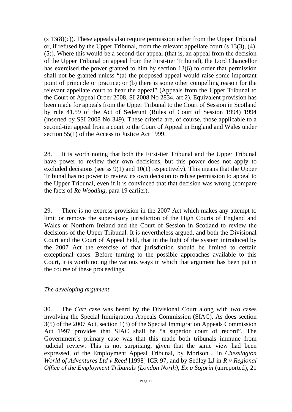(s 13(8)(c)). These appeals also require permission either from the Upper Tribunal or, if refused by the Upper Tribunal, from the relevant appellate court (s 13(3), (4), (5)). Where this would be a second-tier appeal (that is, an appeal from the decision of the Upper Tribunal on appeal from the First-tier Tribunal), the Lord Chancellor has exercised the power granted to him by section 13(6) to order that permission shall not be granted unless "(a) the proposed appeal would raise some important point of principle or practice; or (b) there is some other compelling reason for the relevant appellate court to hear the appeal" (Appeals from the Upper Tribunal to the Court of Appeal Order 2008, SI 2008 No 2834, art 2). Equivalent provision has been made for appeals from the Upper Tribunal to the Court of Session in Scotland by rule 41.59 of the Act of Sederunt (Rules of Court of Session 1994) 1994 (inserted by SSI 2008 No 349). These criteria are, of course, those applicable to a second-tier appeal from a court to the Court of Appeal in England and Wales under section 55(1) of the Access to Justice Act 1999.

28. It is worth noting that both the First-tier Tribunal and the Upper Tribunal have power to review their own decisions, but this power does not apply to excluded decisions (see ss 9(1) and 10(1) respectively). This means that the Upper Tribunal has no power to review its own decision to refuse permission to appeal to the Upper Tribunal, even if it is convinced that that decision was wrong (compare the facts of *Re Wooding*, para 19 earlier).

29. There is no express provision in the 2007 Act which makes any attempt to limit or remove the supervisory jurisdiction of the High Courts of England and Wales or Northern Ireland and the Court of Session in Scotland to review the decisions of the Upper Tribunal. It is nevertheless argued, and both the Divisional Court and the Court of Appeal held, that in the light of the system introduced by the 2007 Act the exercise of that jurisdiction should be limited to certain exceptional cases. Before turning to the possible approaches available to this Court, it is worth noting the various ways in which that argument has been put in the course of these proceedings.

#### *The developing argument*

30. The *Cart* case was heard by the Divisional Court along with two cases involving the Special Immigration Appeals Commission (SIAC). As does section 3(5) of the 2007 Act, section 1(3) of the Special Immigration Appeals Commission Act 1997 provides that SIAC shall be "a superior court of record". The Government's primary case was that this made both tribunals immune from judicial review. This is not surprising, given that the same view had been expressed, of the Employment Appeal Tribunal, by Morison J in *Chessington World of Adventures Ltd v Reed* [1998] ICR 97, and by Sedley LJ in *R v Regional Office of the Employment Tribunals (London North), Ex p Sojorin* (unreported), 21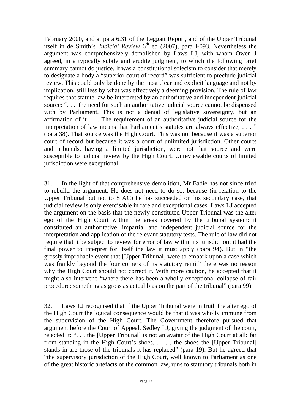February 2000, and at para 6.31 of the Leggatt Report, and of the Upper Tribunal itself in de Smith's *Judicial Review* 6<sup>th</sup> ed (2007), para I-093. Nevertheless the argument was comprehensively demolished by Laws LJ, with whom Owen J agreed, in a typically subtle and erudite judgment, to which the following brief summary cannot do justice. It was a constitutional solecism to consider that merely to designate a body a "superior court of record" was sufficient to preclude judicial review. This could only be done by the most clear and explicit language and not by implication, still less by what was effectively a deeming provision. The rule of law requires that statute law be interpreted by an authoritative and independent judicial source: "... the need for such an authoritative judicial source cannot be dispensed with by Parliament. This is not a denial of legislative sovereignty, but an affirmation of it . . . The requirement of an authoritative judicial source for the interpretation of law means that Parliament's statutes are always effective; . . . " (para 38). That source was the High Court. This was not because it was a superior court of record but because it was a court of unlimited jurisdiction. Other courts and tribunals, having a limited jurisdiction, were not that source and were susceptible to judicial review by the High Court. Unreviewable courts of limited jurisdiction were exceptional.

31. In the light of that comprehensive demolition, Mr Eadie has not since tried to rebuild the argument. He does not need to do so, because (in relation to the Upper Tribunal but not to SIAC) he has succeeded on his secondary case, that judicial review is only exercisable in rare and exceptional cases. Laws LJ accepted the argument on the basis that the newly constituted Upper Tribunal was the alter ego of the High Court within the areas covered by the tribunal system: it constituted an authoritative, impartial and independent judicial source for the interpretation and application of the relevant statutory tests. The rule of law did not require that it be subject to review for error of law within its jurisdiction: it had the final power to interpret for itself the law it must apply (para 94). But in "the grossly improbable event that [Upper Tribunal] were to embark upon a case which was frankly beyond the four corners of its statutory remit" there was no reason why the High Court should not correct it. With more caution, he accepted that it might also intervene "where there has been a wholly exceptional collapse of fair procedure: something as gross as actual bias on the part of the tribunal" (para 99).

32. Laws LJ recognised that if the Upper Tribunal were in truth the alter ego of the High Court the logical consequence would be that it was wholly immune from the supervision of the High Court. The Government therefore pursued that argument before the Court of Appeal. Sedley LJ, giving the judgment of the court, rejected it: ". . . the [Upper Tribunal] is not an avatar of the High Court at all: far from standing in the High Court's shoes, . . . , the shoes the [Upper Tribunal] stands in are those of the tribunals it has replaced" (para 19). But he agreed that "the supervisory jurisdiction of the High Court, well known to Parliament as one of the great historic artefacts of the common law, runs to statutory tribunals both in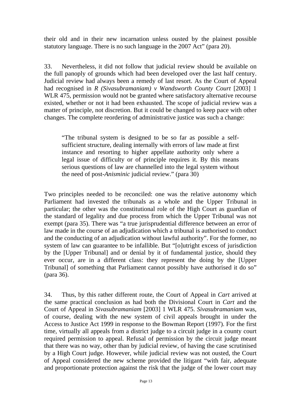their old and in their new incarnation unless ousted by the plainest possible statutory language. There is no such language in the 2007 Act" (para 20).

33. Nevertheless, it did not follow that judicial review should be available on the full panoply of grounds which had been developed over the last half century. Judicial review had always been a remedy of last resort. As the Court of Appeal had recognised in *R (Sivasubramaniam) v Wandsworth County Court* [2003] 1 WLR 475, permission would not be granted where satisfactory alternative recourse existed, whether or not it had been exhausted. The scope of judicial review was a matter of principle, not discretion. But it could be changed to keep pace with other changes. The complete reordering of administrative justice was such a change:

"The tribunal system is designed to be so far as possible a selfsufficient structure, dealing internally with errors of law made at first instance and resorting to higher appellate authority only where a legal issue of difficulty or of principle requires it. By this means serious questions of law are channelled into the legal system without the need of post-*Anisminic* judicial review." (para 30)

Two principles needed to be reconciled: one was the relative autonomy which Parliament had invested the tribunals as a whole and the Upper Tribunal in particular; the other was the constitutional role of the High Court as guardian of the standard of legality and due process from which the Upper Tribunal was not exempt (para 35). There was "a true jurisprudential difference between an error of law made in the course of an adjudication which a tribunal is authorised to conduct and the conducting of an adjudication without lawful authority". For the former, no system of law can guarantee to be infallible. But "[o]utright excess of jurisdiction by the [Upper Tribunal] and or denial by it of fundamental justice, should they ever occur, are in a different class: they represent the doing by the [Upper Tribunal] of something that Parliament cannot possibly have authorised it do so" (para 36).

34. Thus, by this rather different route, the Court of Appeal in *Cart* arrived at the same practical conclusion as had both the Divisional Court in *Cart* and the Court of Appeal in *Sivasubramaniam* [2003] 1 WLR 475. *Sivasubramaniam* was, of course, dealing with the new system of civil appeals brought in under the Access to Justice Act 1999 in response to the Bowman Report (1997). For the first time, virtually all appeals from a district judge to a circuit judge in a county court required permission to appeal. Refusal of permission by the circuit judge meant that there was no way, other than by judicial review, of having the case scrutinised by a High Court judge. However, while judicial review was not ousted, the Court of Appeal considered the new scheme provided the litigant "with fair, adequate and proportionate protection against the risk that the judge of the lower court may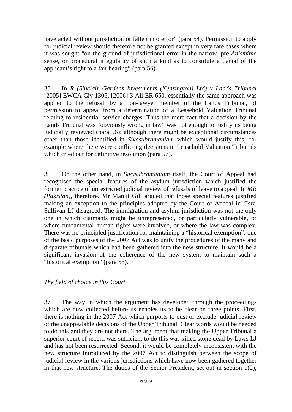have acted without jurisdiction or fallen into error" (para 54). Permission to apply for judicial review should therefore not be granted except in very rare cases where it was sought "on the ground of jurisdictional error in the narrow, pre-*Anisminic*  sense, or procedural irregularity of such a kind as to constitute a denial of the applicant's right to a fair hearing" (para 56).

35. In *R (Sinclair Gardens Investments (Kensington) Ltd) v Lands Tribunal* [2005] EWCA Civ 1305, [2006] 3 All ER 650, essentially the same approach was applied to the refusal, by a non-lawyer member of the Lands Tribunal, of permission to appeal from a determination of a Leasehold Valuation Tribunal relating to residential service charges. Thus the mere fact that a decision by the Lands Tribunal was "obviously wrong in law" was not enough to justify its being judicially reviewed (para 56); although there might be exceptional circumstances other than those identified in *Sivasubramaniam* which would justify this, for example where there were conflicting decisions in Leasehold Valuation Tribunals which cried out for definitive resolution (para 57).

36. On the other hand, in *Sivasubramaniam* itself, the Court of Appeal had recognised the special features of the asylum jurisdiction which justified the former practice of unrestricted judicial review of refusals of leave to appeal. In *MR (Pakistan)*, therefore, Mr Manjit Gill argued that those special features justified making an exception to the principles adopted by the Court of Appeal in *Cart*. Sullivan LJ disagreed. The immigration and asylum jurisdiction was not the only one in which claimants might be unrepresented, or particularly vulnerable, or where fundamental human rights were involved, or where the law was complex. There was no principled justification for maintaining a "historical exemption": one of the basic purposes of the 2007 Act was to unify the procedures of the many and disparate tribunals which had been gathered into the new structure. It would be a significant invasion of the coherence of the new system to maintain such a "historical exemption" (para 53).

*The field of choice in this Court* 

37. The way in which the argument has developed through the proceedings which are now collected before us enables us to be clear on three points. First, there is nothing in the 2007 Act which purports to oust or exclude judicial review of the unappealable decisions of the Upper Tribunal. Clear words would be needed to do this and they are not there. The argument that making the Upper Tribunal a superior court of record was sufficient to do this was killed stone dead by Laws LJ and has not been resurrected. Second, it would be completely inconsistent with the new structure introduced by the 2007 Act to distinguish between the scope of judicial review in the various jurisdictions which have now been gathered together in that new structure. The duties of the Senior President, set out in section 1(2),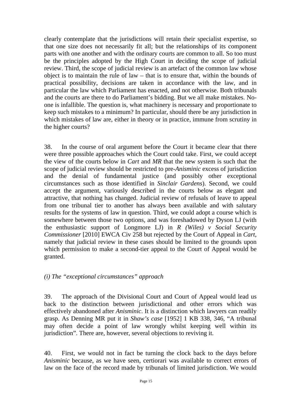clearly contemplate that the jurisdictions will retain their specialist expertise, so that one size does not necessarily fit all; but the relationships of its component parts with one another and with the ordinary courts are common to all. So too must be the principles adopted by the High Court in deciding the scope of judicial review. Third, the scope of judicial review is an artefact of the common law whose object is to maintain the rule of law – that is to ensure that, within the bounds of practical possibility, decisions are taken in accordance with the law, and in particular the law which Parliament has enacted, and not otherwise. Both tribunals and the courts are there to do Parliament's bidding. But we all make mistakes. Noone is infallible. The question is, what machinery is necessary and proportionate to keep such mistakes to a minimum? In particular, should there be any jurisdiction in which mistakes of law are, either in theory or in practice, immune from scrutiny in the higher courts?

38. In the course of oral argument before the Court it became clear that there were three possible approaches which the Court could take. First, we could accept the view of the courts below in *Cart* and *MR* that the new system is such that the scope of judicial review should be restricted to pre-*Anisminic* excess of jurisdiction and the denial of fundamental justice (and possibly other exceptional circumstances such as those identified in *Sinclair Gardens*). Second, we could accept the argument, variously described in the courts below as elegant and attractive, that nothing has changed. Judicial review of refusals of leave to appeal from one tribunal tier to another has always been available and with salutary results for the systems of law in question. Third, we could adopt a course which is somewhere between those two options, and was foreshadowed by Dyson LJ (with the enthusiastic support of Longmore LJ) in *R (Wiles) v Social Security Commissioner* [2010] EWCA Civ 258 but rejected by the Court of Appeal in *Cart*, namely that judicial review in these cases should be limited to the grounds upon which permission to make a second-tier appeal to the Court of Appeal would be granted.

#### *(i) The "exceptional circumstances" approach*

39. The approach of the Divisional Court and Court of Appeal would lead us back to the distinction between jurisdictional and other errors which was effectively abandoned after *Anisminic*. It is a distinction which lawyers can readily grasp. As Denning MR put it in *Shaw's case* [1952] 1 KB 338, 346, "A tribunal may often decide a point of law wrongly whilst keeping well within its jurisdiction". There are, however, several objections to reviving it.

40. First, we would not in fact be turning the clock back to the days before *Anisminic* because, as we have seen, certiorari was available to correct errors of law on the face of the record made by tribunals of limited jurisdiction. We would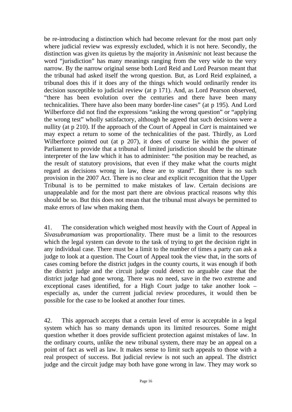be re-introducing a distinction which had become relevant for the most part only where judicial review was expressly excluded, which it is not here. Secondly, the distinction was given its quietus by the majority in *Anisminic* not least because the word "jurisdiction" has many meanings ranging from the very wide to the very narrow. By the narrow original sense both Lord Reid and Lord Pearson meant that the tribunal had asked itself the wrong question. But, as Lord Reid explained, a tribunal does this if it does any of the things which would ordinarily render its decision susceptible to judicial review (at p 171). And, as Lord Pearson observed, "there has been evolution over the centuries and there have been many technicalities. There have also been many border-line cases" (at p 195). And Lord Wilberforce did not find the expressions "asking the wrong question" or "applying the wrong test" wholly satisfactory, although he agreed that such decisions were a nullity (at p 210). If the approach of the Court of Appeal in *Cart* is maintained we may expect a return to some of the technicalities of the past. Thirdly, as Lord Wilberforce pointed out (at p 207), it does of course lie within the power of Parliament to provide that a tribunal of limited jurisdiction should be the ultimate interpreter of the law which it has to administer: "the position may be reached, as the result of statutory provisions, that even if they make what the courts might regard as decisions wrong in law, these are to stand". But there is no such provision in the 2007 Act. There is no clear and explicit recognition that the Upper Tribunal is to be permitted to make mistakes of law. Certain decisions are unappealable and for the most part there are obvious practical reasons why this should be so. But this does not mean that the tribunal must always be permitted to make errors of law when making them.

41. The consideration which weighed most heavily with the Court of Appeal in *Sivasubramaniam* was proportionality. There must be a limit to the resources which the legal system can devote to the task of trying to get the decision right in any individual case. There must be a limit to the number of times a party can ask a judge to look at a question. The Court of Appeal took the view that, in the sorts of cases coming before the district judges in the county courts, it was enough if both the district judge and the circuit judge could detect no arguable case that the district judge had gone wrong. There was no need, save in the two extreme and exceptional cases identified, for a High Court judge to take another look – especially as, under the current judicial review procedures, it would then be possible for the case to be looked at another four times.

42. This approach accepts that a certain level of error is acceptable in a legal system which has so many demands upon its limited resources. Some might question whether it does provide sufficient protection against mistakes of law. In the ordinary courts, unlike the new tribunal system, there may be an appeal on a point of fact as well as law. It makes sense to limit such appeals to those with a real prospect of success. But judicial review is not such an appeal. The district judge and the circuit judge may both have gone wrong in law. They may work so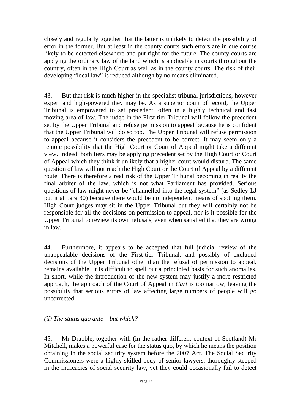closely and regularly together that the latter is unlikely to detect the possibility of error in the former. But at least in the county courts such errors are in due course likely to be detected elsewhere and put right for the future. The county courts are applying the ordinary law of the land which is applicable in courts throughout the country, often in the High Court as well as in the county courts. The risk of their developing "local law" is reduced although by no means eliminated.

43. But that risk is much higher in the specialist tribunal jurisdictions, however expert and high-powered they may be. As a superior court of record, the Upper Tribunal is empowered to set precedent, often in a highly technical and fast moving area of law. The judge in the First-tier Tribunal will follow the precedent set by the Upper Tribunal and refuse permission to appeal because he is confident that the Upper Tribunal will do so too. The Upper Tribunal will refuse permission to appeal because it considers the precedent to be correct. It may seem only a remote possibility that the High Court or Court of Appeal might take a different view. Indeed, both tiers may be applying precedent set by the High Court or Court of Appeal which they think it unlikely that a higher court would disturb. The same question of law will not reach the High Court or the Court of Appeal by a different route. There is therefore a real risk of the Upper Tribunal becoming in reality the final arbiter of the law, which is not what Parliament has provided. Serious questions of law might never be "channelled into the legal system" (as Sedley LJ put it at para 30) because there would be no independent means of spotting them. High Court judges may sit in the Upper Tribunal but they will certainly not be responsible for all the decisions on permission to appeal, nor is it possible for the Upper Tribunal to review its own refusals, even when satisfied that they are wrong in law.

44. Furthermore, it appears to be accepted that full judicial review of the unappealable decisions of the First-tier Tribunal, and possibly of excluded decisions of the Upper Tribunal other than the refusal of permission to appeal, remains available. It is difficult to spell out a principled basis for such anomalies. In short, while the introduction of the new system may justify a more restricted approach, the approach of the Court of Appeal in *Cart* is too narrow, leaving the possibility that serious errors of law affecting large numbers of people will go uncorrected.

#### *(ii) The status quo ante – but which?*

45. Mr Drabble, together with (in the rather different context of Scotland) Mr Mitchell, makes a powerful case for the status quo, by which he means the position obtaining in the social security system before the 2007 Act. The Social Security Commissioners were a highly skilled body of senior lawyers, thoroughly steeped in the intricacies of social security law, yet they could occasionally fail to detect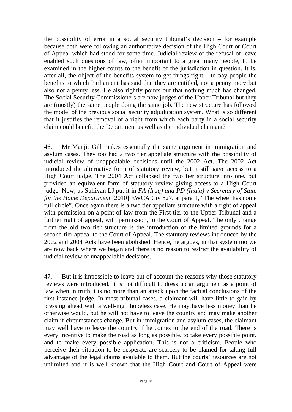the possibility of error in a social security tribunal's decision – for example because both were following an authoritative decision of the High Court or Court of Appeal which had stood for some time. Judicial review of the refusal of leave enabled such questions of law, often important to a great many people, to be examined in the higher courts to the benefit of the jurisdiction in question. It is, after all, the object of the benefits system to get things right – to pay people the benefits to which Parliament has said that they are entitled, not a penny more but also not a penny less. He also rightly points out that nothing much has changed. The Social Security Commissioners are now judges of the Upper Tribunal but they are (mostly) the same people doing the same job. The new structure has followed the model of the previous social security adjudication system. What is so different that it justifies the removal of a right from which each party in a social security claim could benefit, the Department as well as the individual claimant?

46. Mr Manjit Gill makes essentially the same argument in immigration and asylum cases. They too had a two tier appellate structure with the possibility of judicial review of unappealable decisions until the 2002 Act. The 2002 Act introduced the alternative form of statutory review, but it still gave access to a High Court judge. The 2004 Act collapsed the two tier structure into one, but provided an equivalent form of statutory review giving access to a High Court judge. Now, as Sullivan LJ put it in *FA (Iraq) and PD (India) v Secretary of State for the Home Department* [2010] EWCA Civ 827, at para 1, "The wheel has come full circle". Once again there is a two tier appellate structure with a right of appeal with permission on a point of law from the First-tier to the Upper Tribunal and a further right of appeal, with permission, to the Court of Appeal. The only change from the old two tier structure is the introduction of the limited grounds for a second-tier appeal to the Court of Appeal. The statutory reviews introduced by the 2002 and 2004 Acts have been abolished. Hence, he argues, in that system too we are now back where we began and there is no reason to restrict the availability of judicial review of unappealable decisions.

47. But it is impossible to leave out of account the reasons why those statutory reviews were introduced. It is not difficult to dress up an argument as a point of law when in truth it is no more than an attack upon the factual conclusions of the first instance judge. In most tribunal cases, a claimant will have little to gain by pressing ahead with a well-nigh hopeless case. He may have less money than he otherwise would, but he will not have to leave the country and may make another claim if circumstances change. But in immigration and asylum cases, the claimant may well have to leave the country if he comes to the end of the road. There is every incentive to make the road as long as possible, to take every possible point, and to make every possible application. This is not a criticism. People who perceive their situation to be desperate are scarcely to be blamed for taking full advantage of the legal claims available to them. But the courts' resources are not unlimited and it is well known that the High Court and Court of Appeal were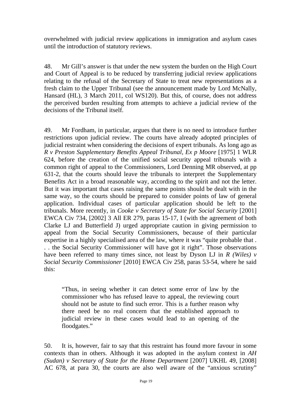overwhelmed with judicial review applications in immigration and asylum cases until the introduction of statutory reviews.

48. Mr Gill's answer is that under the new system the burden on the High Court and Court of Appeal is to be reduced by transferring judicial review applications relating to the refusal of the Secretary of State to treat new representations as a fresh claim to the Upper Tribunal (see the announcement made by Lord McNally, Hansard (HL), 3 March 2011, col WS120). But this, of course, does not address the perceived burden resulting from attempts to achieve a judicial review of the decisions of the Tribunal itself.

49. Mr Fordham, in particular, argues that there is no need to introduce further restrictions upon judicial review. The courts have already adopted principles of judicial restraint when considering the decisions of expert tribunals. As long ago as *R v Preston Supplementary Benefits Appeal Tribunal, Ex p Moore* [1975] 1 WLR 624, before the creation of the unified social security appeal tribunals with a common right of appeal to the Commissioners, Lord Denning MR observed, at pp 631-2, that the courts should leave the tribunals to interpret the Supplementary Benefits Act in a broad reasonable way, according to the spirit and not the letter. But it was important that cases raising the same points should be dealt with in the same way, so the courts should be prepared to consider points of law of general application. Individual cases of particular application should be left to the tribunals. More recently, in *Cooke v Secretary of State for Social Security* [2001] EWCA Civ 734, [2002] 3 All ER 279, paras 15-17, I (with the agreement of both Clarke LJ and Butterfield J) urged appropriate caution in giving permission to appeal from the Social Security Commissioners, because of their particular expertise in a highly specialised area of the law, where it was "quite probable that . . . the Social Security Commissioner will have got it right". Those observations have been referred to many times since, not least by Dyson LJ in *R (Wiles) v Social Security Commissioner* [2010] EWCA Civ 258, paras 53-54, where he said this:

"Thus, in seeing whether it can detect some error of law by the commissioner who has refused leave to appeal, the reviewing court should not be astute to find such error. This is a further reason why there need be no real concern that the established approach to judicial review in these cases would lead to an opening of the floodgates."

50. It is, however, fair to say that this restraint has found more favour in some contexts than in others. Although it was adopted in the asylum context in *AH (Sudan) v Secretary of State for the Home Department* [2007] UKHL 49, [2008] AC 678, at para 30, the courts are also well aware of the "anxious scrutiny"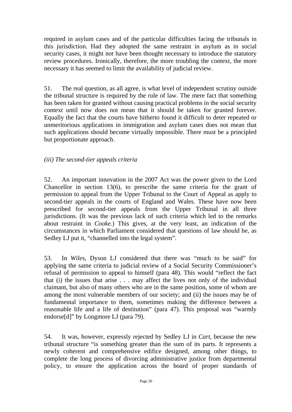required in asylum cases and of the particular difficulties facing the tribunals in this jurisdiction. Had they adopted the same restraint in asylum as in social security cases, it might not have been thought necessary to introduce the statutory review procedures. Ironically, therefore, the more troubling the context, the more necessary it has seemed to limit the availability of judicial review.

51. The real question, as all agree, is what level of independent scrutiny outside the tribunal structure is required by the rule of law. The mere fact that something has been taken for granted without causing practical problems in the social security context until now does not mean that it should be taken for granted forever. Equally the fact that the courts have hitherto found it difficult to deter repeated or unmeritorious applications in immigration and asylum cases does not mean that such applications should become virtually impossible. There must be a principled but proportionate approach.

# *(iii) The second-tier appeals criteria*

52. An important innovation in the 2007 Act was the power given to the Lord Chancellor in section 13(6), to prescribe the same criteria for the grant of permission to appeal from the Upper Tribunal to the Court of Appeal as apply to second-tier appeals in the courts of England and Wales. These have now been prescribed for second-tier appeals from the Upper Tribunal in all three jurisdictions. (It was the previous lack of such criteria which led to the remarks about restraint in *Cooke.*) This gives, at the very least, an indication of the circumstances in which Parliament considered that questions of law should be, as Sedley LJ put it, "channelled into the legal system".

53. In *Wiles*, Dyson LJ considered that there was "much to be said" for applying the same criteria to judicial review of a Social Security Commissioner's refusal of permission to appeal to himself (para 48). This would "reflect the fact that (i) the issues that arise . . . may affect the lives not only of the individual claimant, but also of many others who are in the same position, some of whom are among the most vulnerable members of our society; and (ii) the issues may be of fundamental importance to them, sometimes making the difference between a reasonable life and a life of destitution" (para 47). This proposal was "warmly endorse<sup>[d]"</sup> by Longmore LJ (para 79).

54. It was, however, expressly rejected by Sedley LJ in *Cart*, because the new tribunal structure "is something greater than the sum of its parts. It represents a newly coherent and comprehensive edifice designed, among other things, to complete the long process of divorcing administrative justice from departmental policy, to ensure the application across the board of proper standards of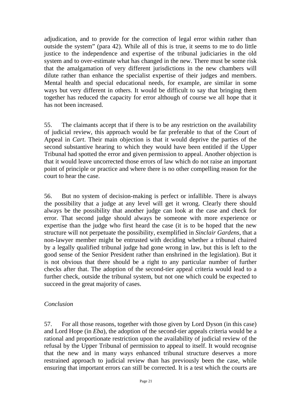adjudication, and to provide for the correction of legal error within rather than outside the system" (para 42). While all of this is true, it seems to me to do little justice to the independence and expertise of the tribunal judiciaries in the old system and to over-estimate what has changed in the new. There must be some risk that the amalgamation of very different jurisdictions in the new chambers will dilute rather than enhance the specialist expertise of their judges and members. Mental health and special educational needs, for example, are similar in some ways but very different in others. It would be difficult to say that bringing them together has reduced the capacity for error although of course we all hope that it has not been increased.

55. The claimants accept that if there is to be any restriction on the availability of judicial review, this approach would be far preferable to that of the Court of Appeal in *Cart*. Their main objection is that it would deprive the parties of the second substantive hearing to which they would have been entitled if the Upper Tribunal had spotted the error and given permission to appeal. Another objection is that it would leave uncorrected those errors of law which do not raise an important point of principle or practice and where there is no other compelling reason for the court to hear the case.

56. But no system of decision-making is perfect or infallible. There is always the possibility that a judge at any level will get it wrong. Clearly there should always be the possibility that another judge can look at the case and check for error. That second judge should always be someone with more experience or expertise than the judge who first heard the case (it is to be hoped that the new structure will not perpetuate the possibility, exemplified in *Sinclair Gardens,* that a non-lawyer member might be entrusted with deciding whether a tribunal chaired by a legally qualified tribunal judge had gone wrong in law, but this is left to the good sense of the Senior President rather than enshrined in the legislation). But it is not obvious that there should be a right to any particular number of further checks after that. The adoption of the second-tier appeal criteria would lead to a further check, outside the tribunal system, but not one which could be expected to succeed in the great majority of cases.

#### *Conclusion*

57. For all those reasons, together with those given by Lord Dyson (in this case) and Lord Hope (in *Eba*), the adoption of the second-tier appeals criteria would be a rational and proportionate restriction upon the availability of judicial review of the refusal by the Upper Tribunal of permission to appeal to itself. It would recognise that the new and in many ways enhanced tribunal structure deserves a more restrained approach to judicial review than has previously been the case, while ensuring that important errors can still be corrected. It is a test which the courts are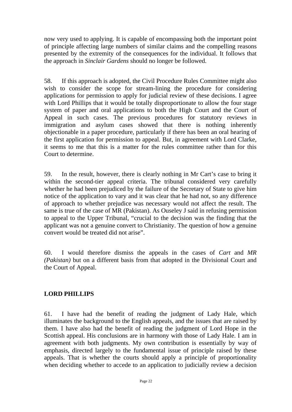now very used to applying. It is capable of encompassing both the important point of principle affecting large numbers of similar claims and the compelling reasons presented by the extremity of the consequences for the individual. It follows that the approach in *Sinclair Gardens* should no longer be followed.

58. If this approach is adopted, the Civil Procedure Rules Committee might also wish to consider the scope for stream-lining the procedure for considering applications for permission to apply for judicial review of these decisions. I agree with Lord Phillips that it would be totally disproportionate to allow the four stage system of paper and oral applications to both the High Court and the Court of Appeal in such cases. The previous procedures for statutory reviews in immigration and asylum cases showed that there is nothing inherently objectionable in a paper procedure, particularly if there has been an oral hearing of the first application for permission to appeal. But, in agreement with Lord Clarke, it seems to me that this is a matter for the rules committee rather than for this Court to determine.

59. In the result, however, there is clearly nothing in Mr Cart's case to bring it within the second-tier appeal criteria. The tribunal considered very carefully whether he had been prejudiced by the failure of the Secretary of State to give him notice of the application to vary and it was clear that he had not, so any difference of approach to whether prejudice was necessary would not affect the result. The same is true of the case of MR (Pakistan). As Ouseley J said in refusing permission to appeal to the Upper Tribunal, "crucial to the decision was the finding that the applicant was not a genuine convert to Christianity. The question of how a genuine convert would be treated did not arise".

60. I would therefore dismiss the appeals in the cases of *Cart* and *MR (Pakistan)* but on a different basis from that adopted in the Divisional Court and the Court of Appeal.

# **LORD PHILLIPS**

61. I have had the benefit of reading the judgment of Lady Hale, which illuminates the background to the English appeals, and the issues that are raised by them. I have also had the benefit of reading the judgment of Lord Hope in the Scottish appeal. His conclusions are in harmony with those of Lady Hale. I am in agreement with both judgments. My own contribution is essentially by way of emphasis, directed largely to the fundamental issue of principle raised by these appeals. That is whether the courts should apply a principle of proportionality when deciding whether to accede to an application to judicially review a decision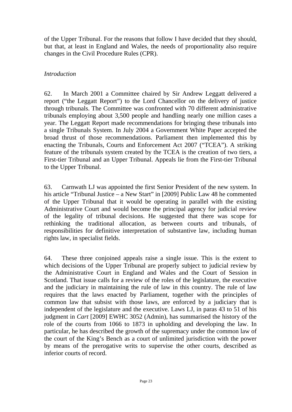of the Upper Tribunal. For the reasons that follow I have decided that they should, but that, at least in England and Wales, the needs of proportionality also require changes in the Civil Procedure Rules (CPR).

### *Introduction*

62. In March 2001 a Committee chaired by Sir Andrew Leggatt delivered a report ("the Leggatt Report") to the Lord Chancellor on the delivery of justice through tribunals. The Committee was confronted with 70 different administrative tribunals employing about 3,500 people and handling nearly one million cases a year. The Leggatt Report made recommendations for bringing these tribunals into a single Tribunals System. In July 2004 a Government White Paper accepted the broad thrust of those recommendations. Parliament then implemented this by enacting the Tribunals, Courts and Enforcement Act 2007 ("TCEA"). A striking feature of the tribunals system created by the TCEA is the creation of two tiers, a First-tier Tribunal and an Upper Tribunal. Appeals lie from the First-tier Tribunal to the Upper Tribunal.

63. Carnwath LJ was appointed the first Senior President of the new system. In his article "Tribunal Justice – a New Start" in [2009] Public Law 48 he commented of the Upper Tribunal that it would be operating in parallel with the existing Administrative Court and would become the principal agency for judicial review of the legality of tribunal decisions. He suggested that there was scope for rethinking the traditional allocation, as between courts and tribunals, of responsibilities for definitive interpretation of substantive law, including human rights law, in specialist fields.

64. These three conjoined appeals raise a single issue. This is the extent to which decisions of the Upper Tribunal are properly subject to judicial review by the Administrative Court in England and Wales and the Court of Session in Scotland. That issue calls for a review of the roles of the legislature, the executive and the judiciary in maintaining the rule of law in this country. The rule of law requires that the laws enacted by Parliament, together with the principles of common law that subsist with those laws, are enforced by a judiciary that is independent of the legislature and the executive. Laws LJ, in paras 43 to 51 of his judgment in *Cart* [2009] EWHC 3052 (Admin), has summarised the history of the role of the courts from 1066 to 1873 in upholding and developing the law. In particular, he has described the growth of the supremacy under the common law of the court of the King's Bench as a court of unlimited jurisdiction with the power by means of the prerogative writs to supervise the other courts, described as inferior courts of record.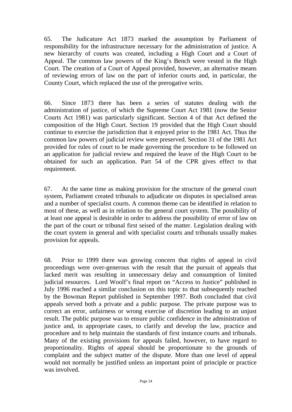65. The Judicature Act 1873 marked the assumption by Parliament of responsibility for the infrastructure necessary for the administration of justice. A new hierarchy of courts was created, including a High Court and a Court of Appeal. The common law powers of the King's Bench were vested in the High Court. The creation of a Court of Appeal provided, however, an alternative means of reviewing errors of law on the part of inferior courts and, in particular, the County Court, which replaced the use of the prerogative writs.

66. Since 1873 there has been a series of statutes dealing with the administration of justice, of which the Supreme Court Act 1981 (now the Senior Courts Act 1981) was particularly significant. Section 4 of that Act defined the composition of the High Court. Section 19 provided that the High Court should continue to exercise the jurisdiction that it enjoyed prior to the 1981 Act. Thus the common law powers of judicial review were preserved. Section 31 of the 1981 Act provided for rules of court to be made governing the procedure to be followed on an application for judicial review and required the leave of the High Court to be obtained for such an application. Part 54 of the CPR gives effect to that requirement.

67. At the same time as making provision for the structure of the general court system, Parliament created tribunals to adjudicate on disputes in specialised areas and a number of specialist courts. A common theme can be identified in relation to most of these, as well as in relation to the general court system. The possibility of at least one appeal is desirable in order to address the possibility of error of law on the part of the court or tribunal first seised of the matter. Legislation dealing with the court system in general and with specialist courts and tribunals usually makes provision for appeals.

68. Prior to 1999 there was growing concern that rights of appeal in civil proceedings were over-generous with the result that the pursuit of appeals that lacked merit was resulting in unnecessary delay and consumption of limited judicial resources. Lord Woolf's final report on "Access to Justice" published in July 1996 reached a similar conclusion on this topic to that subsequently reached by the Bowman Report published in September 1997. Both concluded that civil appeals served both a private and a public purpose. The private purpose was to correct an error, unfairness or wrong exercise of discretion leading to an unjust result. The public purpose was to ensure public confidence in the administration of justice and, in appropriate cases, to clarify and develop the law, practice and procedure and to help maintain the standards of first instance courts and tribunals. Many of the existing provisions for appeals failed, however, to have regard to proportionality. Rights of appeal should be proportionate to the grounds of complaint and the subject matter of the dispute. More than one level of appeal would not normally be justified unless an important point of principle or practice was involved.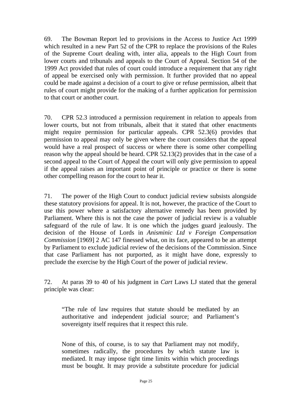69. The Bowman Report led to provisions in the Access to Justice Act 1999 which resulted in a new Part 52 of the CPR to replace the provisions of the Rules of the Supreme Court dealing with, inter alia, appeals to the High Court from lower courts and tribunals and appeals to the Court of Appeal. Section 54 of the 1999 Act provided that rules of court could introduce a requirement that any right of appeal be exercised only with permission. It further provided that no appeal could be made against a decision of a court to give or refuse permission, albeit that rules of court might provide for the making of a further application for permission to that court or another court.

70. CPR 52.3 introduced a permission requirement in relation to appeals from lower courts, but not from tribunals, albeit that it stated that other enactments might require permission for particular appeals. CPR 52.3(6) provides that permission to appeal may only be given where the court considers that the appeal would have a real prospect of success or where there is some other compelling reason why the appeal should be heard. CPR 52.13(2) provides that in the case of a second appeal to the Court of Appeal the court will only give permission to appeal if the appeal raises an important point of principle or practice or there is some other compelling reason for the court to hear it.

71. The power of the High Court to conduct judicial review subsists alongside these statutory provisions for appeal. It is not, however, the practice of the Court to use this power where a satisfactory alternative remedy has been provided by Parliament. Where this is not the case the power of judicial review is a valuable safeguard of the rule of law. It is one which the judges guard jealously. The decision of the House of Lords in *Anisminic Ltd v Foreign Compensation Commission* [1969] 2 AC 147 finessed what, on its face, appeared to be an attempt by Parliament to exclude judicial review of the decisions of the Commission. Since that case Parliament has not purported, as it might have done, expressly to preclude the exercise by the High Court of the power of judicial review.

72. At paras 39 to 40 of his judgment in *Cart* Laws LJ stated that the general principle was clear:

"The rule of law requires that statute should be mediated by an authoritative and independent judicial source; and Parliament's sovereignty itself requires that it respect this rule.

None of this, of course, is to say that Parliament may not modify, sometimes radically, the procedures by which statute law is mediated. It may impose tight time limits within which proceedings must be bought. It may provide a substitute procedure for judicial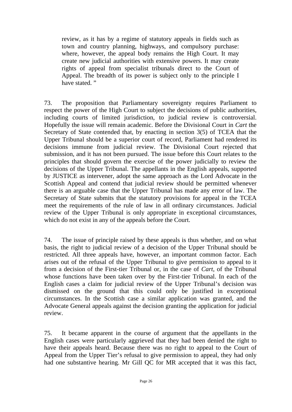review, as it has by a regime of statutory appeals in fields such as town and country planning, highways, and compulsory purchase: where, however, the appeal body remains the High Court. It may create new judicial authorities with extensive powers. It may create rights of appeal from specialist tribunals direct to the Court of Appeal. The breadth of its power is subject only to the principle I have stated."

73. The proposition that Parliamentary sovereignty requires Parliament to respect the power of the High Court to subject the decisions of public authorities, including courts of limited jurisdiction, to judicial review is controversial. Hopefully the issue will remain academic. Before the Divisional Court in *Cart* the Secretary of State contended that, by enacting in section 3(5) of TCEA that the Upper Tribunal should be a superior court of record, Parliament had rendered its decisions immune from judicial review. The Divisional Court rejected that submission, and it has not been pursued. The issue before this Court relates to the principles that should govern the exercise of the power judicially to review the decisions of the Upper Tribunal. The appellants in the English appeals, supported by JUSTICE as intervener, adopt the same approach as the Lord Advocate in the Scottish Appeal and contend that judicial review should be permitted whenever there is an arguable case that the Upper Tribunal has made any error of law. The Secretary of State submits that the statutory provisions for appeal in the TCEA meet the requirements of the rule of law in all ordinary circumstances. Judicial review of the Upper Tribunal is only appropriate in exceptional circumstances, which do not exist in any of the appeals before the Court.

74. The issue of principle raised by these appeals is thus whether, and on what basis, the right to judicial review of a decision of the Upper Tribunal should be restricted. All three appeals have, however, an important common factor. Each arises out of the refusal of the Upper Tribunal to give permission to appeal to it from a decision of the First-tier Tribunal or, in the case of *Cart*, of the Tribunal whose functions have been taken over by the First-tier Tribunal. In each of the English cases a claim for judicial review of the Upper Tribunal's decision was dismissed on the ground that this could only be justified in exceptional circumstances. In the Scottish case a similar application was granted, and the Advocate General appeals against the decision granting the application for judicial review.

75. It became apparent in the course of argument that the appellants in the English cases were particularly aggrieved that they had been denied the right to have their appeals heard. Because there was no right to appeal to the Court of Appeal from the Upper Tier's refusal to give permission to appeal, they had only had one substantive hearing. Mr Gill QC for MR accepted that it was this fact,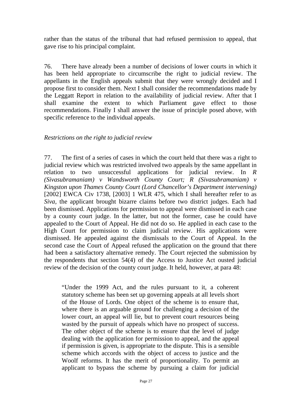rather than the status of the tribunal that had refused permission to appeal, that gave rise to his principal complaint.

76. There have already been a number of decisions of lower courts in which it has been held appropriate to circumscribe the right to judicial review. The appellants in the English appeals submit that they were wrongly decided and I propose first to consider them. Next I shall consider the recommendations made by the Leggatt Report in relation to the availability of judicial review. After that I shall examine the extent to which Parliament gave effect to those recommendations. Finally I shall answer the issue of principle posed above, with specific reference to the individual appeals.

### *Restrictions on the right to judicial review*

77. The first of a series of cases in which the court held that there was a right to judicial review which was restricted involved two appeals by the same appellant in relation to two unsuccessful applications for judicial review. In *R (Sivasubramaniam) v Wandsworth County Court; R (Sivasubramaniam) v Kingston upon Thames County Court (Lord Chancellor's Department intervening)* [2002] EWCA Civ 1738, [2003] 1 WLR 475, which I shall hereafter refer to as *Siva,* the applicant brought bizarre claims before two district judges. Each had been dismissed. Applications for permission to appeal were dismissed in each case by a county court judge. In the latter, but not the former, case he could have appealed to the Court of Appeal. He did not do so. He applied in each case to the High Court for permission to claim judicial review. His applications were dismissed. He appealed against the dismissals to the Court of Appeal. In the second case the Court of Appeal refused the application on the ground that there had been a satisfactory alternative remedy. The Court rejected the submission by the respondents that section 54(4) of the Access to Justice Act ousted judicial review of the decision of the county court judge. It held, however, at para 48:

"Under the 1999 Act, and the rules pursuant to it, a coherent statutory scheme has been set up governing appeals at all levels short of the House of Lords. One object of the scheme is to ensure that, where there is an arguable ground for challenging a decision of the lower court, an appeal will lie, but to prevent court resources being wasted by the pursuit of appeals which have no prospect of success. The other object of the scheme is to ensure that the level of judge dealing with the application for permission to appeal, and the appeal if permission is given, is appropriate to the dispute. This is a sensible scheme which accords with the object of access to justice and the Woolf reforms. It has the merit of proportionality. To permit an applicant to bypass the scheme by pursuing a claim for judicial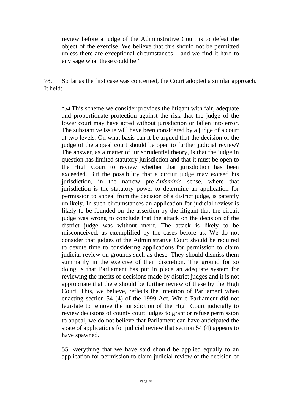review before a judge of the Administrative Court is to defeat the object of the exercise. We believe that this should not be permitted unless there are exceptional circumstances – and we find it hard to envisage what these could be."

78. So far as the first case was concerned, the Court adopted a similar approach. It held:

"54 This scheme we consider provides the litigant with fair, adequate and proportionate protection against the risk that the judge of the lower court may have acted without jurisdiction or fallen into error. The substantive issue will have been considered by a judge of a court at two levels. On what basis can it be argued that the decision of the judge of the appeal court should be open to further judicial review? The answer, as a matter of jurisprudential theory, is that the judge in question has limited statutory jurisdiction and that it must be open to the High Court to review whether that jurisdiction has been exceeded. But the possibility that a circuit judge may exceed his jurisdiction, in the narrow pre-*Anisminic* sense, where that jurisdiction is the statutory power to determine an application for permission to appeal from the decision of a district judge, is patently unlikely. In such circumstances an application for judicial review is likely to be founded on the assertion by the litigant that the circuit judge was wrong to conclude that the attack on the decision of the district judge was without merit. The attack is likely to be misconceived, as exemplified by the cases before us. We do not consider that judges of the Administrative Court should be required to devote time to considering applications for permission to claim judicial review on grounds such as these. They should dismiss them summarily in the exercise of their discretion. The ground for so doing is that Parliament has put in place an adequate system for reviewing the merits of decisions made by district judges and it is not appropriate that there should be further review of these by the High Court. This, we believe, reflects the intention of Parliament when enacting section 54 (4) of the 1999 Act. While Parliament did not legislate to remove the jurisdiction of the High Court judicially to review decisions of county court judges to grant or refuse permission to appeal, we do not believe that Parliament can have anticipated the spate of applications for judicial review that section 54 (4) appears to have spawned.

55 Everything that we have said should be applied equally to an application for permission to claim judicial review of the decision of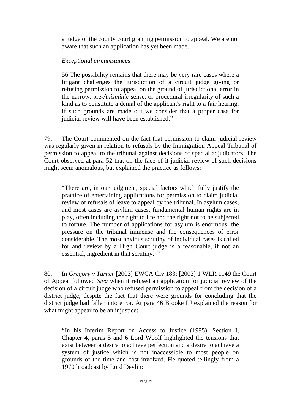a judge of the county court granting permission to appeal. We are not aware that such an application has yet been made.

#### *Exceptional circumstances*

56 The possibility remains that there may be very rare cases where a litigant challenges the jurisdiction of a circuit judge giving or refusing permission to appeal on the ground of jurisdictional error in the narrow, pre-*Anisminic* sense, or procedural irregularity of such a kind as to constitute a denial of the applicant's right to a fair hearing. If such grounds are made out we consider that a proper case for judicial review will have been established."

79. The Court commented on the fact that permission to claim judicial review was regularly given in relation to refusals by the Immigration Appeal Tribunal of permission to appeal to the tribunal against decisions of special adjudicators. The Court observed at para 52 that on the face of it judicial review of such decisions might seem anomalous, but explained the practice as follows:

"There are, in our judgment, special factors which fully justify the practice of entertaining applications for permission to claim judicial review of refusals of leave to appeal by the tribunal. In asylum cases, and most cases are asylum cases, fundamental human rights are in play, often including the right to life and the right not to be subjected to torture. The number of applications for asylum is enormous, the pressure on the tribunal immense and the consequences of error considerable. The most anxious scrutiny of individual cases is called for and review by a High Court judge is a reasonable, if not an essential, ingredient in that scrutiny. "

80. In *Gregory v Turner* [2003] EWCA Civ 183; [2003] 1 WLR 1149 the Court of Appeal followed *Siva* when it refused an application for judicial review of the decision of a circuit judge who refused permission to appeal from the decision of a district judge, despite the fact that there were grounds for concluding that the district judge had fallen into error. At para 46 Brooke LJ explained the reason for what might appear to be an injustice:

"In his Interim Report on Access to Justice (1995), Section I, Chapter 4, paras 5 and 6 Lord Woolf highlighted the tensions that exist between a desire to achieve perfection and a desire to achieve a system of justice which is not inaccessible to most people on grounds of the time and cost involved. He quoted tellingly from a 1970 broadcast by Lord Devlin: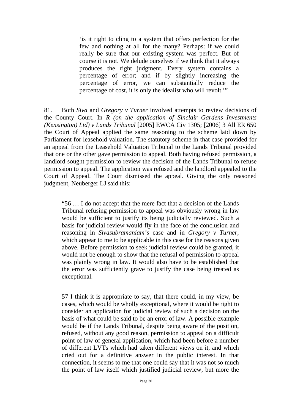'is it right to cling to a system that offers perfection for the few and nothing at all for the many? Perhaps: if we could really be sure that our existing system was perfect. But of course it is not. We delude ourselves if we think that it always produces the right judgment. Every system contains a percentage of error; and if by slightly increasing the percentage of error, we can substantially reduce the percentage of cost, it is only the idealist who will revolt.'"

81. Both *Siva* and *Gregory v Turner* involved attempts to review decisions of the County Court. In *R (on the application of Sinclair Gardens Investments (Kensington) Ltd) v Lands Tribunal* [2005] EWCA Civ 1305; [2006] 3 All ER 650 the Court of Appeal applied the same reasoning to the scheme laid down by Parliament for leasehold valuation. The statutory scheme in that case provided for an appeal from the Leasehold Valuation Tribunal to the Lands Tribunal provided that one or the other gave permission to appeal. Both having refused permission, a landlord sought permission to review the decision of the Lands Tribunal to refuse permission to appeal. The application was refused and the landlord appealed to the Court of Appeal. The Court dismissed the appeal. Giving the only reasoned judgment, Neuberger LJ said this:

"56 … I do not accept that the mere fact that a decision of the Lands Tribunal refusing permission to appeal was obviously wrong in law would be sufficient to justify its being judicially reviewed. Such a basis for judicial review would fly in the face of the conclusion and reasoning in *Sivasubramaniam's* case and in *Gregory v Turner,* which appear to me to be applicable in this case for the reasons given above. Before permission to seek judicial review could be granted, it would not be enough to show that the refusal of permission to appeal was plainly wrong in law. It would also have to be established that the error was sufficiently grave to justify the case being treated as exceptional.

57 I think it is appropriate to say, that there could, in my view, be cases, which would be wholly exceptional, where it would be right to consider an application for judicial review of such a decision on the basis of what could be said to be an error of law. A possible example would be if the Lands Tribunal, despite being aware of the position, refused, without any good reason, permission to appeal on a difficult point of law of general application, which had been before a number of different LVTs which had taken different views on it, and which cried out for a definitive answer in the public interest. In that connection, it seems to me that one could say that it was not so much the point of law itself which justified judicial review, but more the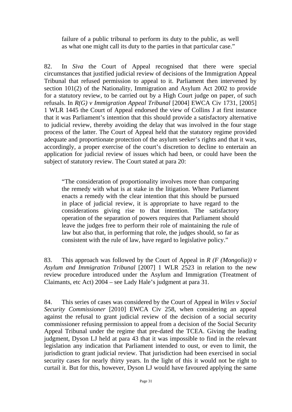failure of a public tribunal to perform its duty to the public, as well as what one might call its duty to the parties in that particular case."

82. In *Siva* the Court of Appeal recognised that there were special circumstances that justified judicial review of decisions of the Immigration Appeal Tribunal that refused permission to appeal to it. Parliament then intervened by section 101(2) of the Nationality, Immigration and Asylum Act 2002 to provide for a statutory review, to be carried out by a High Court judge on paper, of such refusals. In *R(G) v Immigration Appeal Tribunal* [2004] EWCA Civ 1731, [2005] 1 WLR 1445 the Court of Appeal endorsed the view of Collins J at first instance that it was Parliament's intention that this should provide a satisfactory alternative to judicial review, thereby avoiding the delay that was involved in the four stage process of the latter. The Court of Appeal held that the statutory regime provided adequate and proportionate protection of the asylum seeker's rights and that it was, accordingly, a proper exercise of the court's discretion to decline to entertain an application for judicial review of issues which had been, or could have been the subject of statutory review. The Court stated at para 20:

"The consideration of proportionality involves more than comparing the remedy with what is at stake in the litigation. Where Parliament enacts a remedy with the clear intention that this should be pursued in place of judicial review, it is appropriate to have regard to the considerations giving rise to that intention. The satisfactory operation of the separation of powers requires that Parliament should leave the judges free to perform their role of maintaining the rule of law but also that, in performing that role, the judges should, so far as consistent with the rule of law, have regard to legislative policy."

83. This approach was followed by the Court of Appeal in *R (F (Mongolia)) v Asylum and Immigration Tribunal* [2007] 1 WLR 2523 in relation to the new review procedure introduced under the Asylum and Immigration (Treatment of Claimants, etc Act) 2004 – see Lady Hale's judgment at para 31.

84. This series of cases was considered by the Court of Appeal in *Wiles v Social Security Commissioner* [2010] EWCA Civ 258, when considering an appeal against the refusal to grant judicial review of the decision of a social security commissioner refusing permission to appeal from a decision of the Social Security Appeal Tribunal under the regime that pre-dated the TCEA. Giving the leading judgment, Dyson LJ held at para 43 that it was impossible to find in the relevant legislation any indication that Parliament intended to oust, or even to limit, the jurisdiction to grant judicial review. That jurisdiction had been exercised in social security cases for nearly thirty years. In the light of this it would not be right to curtail it. But for this, however, Dyson LJ would have favoured applying the same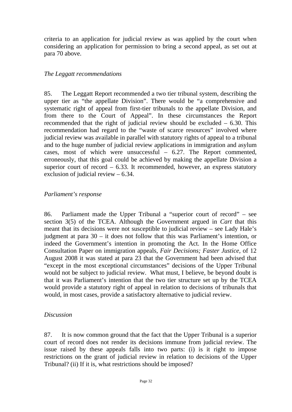criteria to an application for judicial review as was applied by the court when considering an application for permission to bring a second appeal, as set out at para 70 above.

#### *The Leggatt recommendations*

85. The Leggatt Report recommended a two tier tribunal system, describing the upper tier as "the appellate Division". There would be "a comprehensive and systematic right of appeal from first-tier tribunals to the appellate Division, and from there to the Court of Appeal". In these circumstances the Report recommended that the right of judicial review should be excluded – 6.30. This recommendation had regard to the "waste of scarce resources" involved where judicial review was available in parallel with statutory rights of appeal to a tribunal and to the huge number of judicial review applications in immigration and asylum cases, most of which were unsuccessful – 6.27. The Report commented, erroneously, that this goal could be achieved by making the appellate Division a superior court of record  $-6.33$ . It recommended, however, an express statutory exclusion of judicial review – 6.34.

#### *Parliament's response*

86. Parliament made the Upper Tribunal a "superior court of record" – see section 3(5) of the TCEA. Although the Government argued in *Cart* that this meant that its decisions were not susceptible to judicial review – see Lady Hale's judgment at para 30 – it does not follow that this was Parliament's intention, or indeed the Government's intention in promoting the Act. In the Home Office Consultation Paper on immigration appeals, *Fair Decisions; Faster Justice*, of 12 August 2008 it was stated at para 23 that the Government had been advised that "except in the most exceptional circumstances" decisions of the Upper Tribunal would not be subject to judicial review. What must, I believe, be beyond doubt is that it was Parliament's intention that the two tier structure set up by the TCEA would provide a statutory right of appeal in relation to decisions of tribunals that would, in most cases, provide a satisfactory alternative to judicial review.

#### *Discussion*

87. It is now common ground that the fact that the Upper Tribunal is a superior court of record does not render its decisions immune from judicial review. The issue raised by these appeals falls into two parts: (i) is it right to impose restrictions on the grant of judicial review in relation to decisions of the Upper Tribunal? (ii) If it is, what restrictions should be imposed?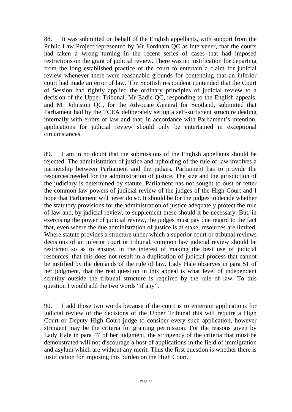88. It was submitted on behalf of the English appellants, with support from the Public Law Project represented by Mr Fordham QC as intervener, that the courts had taken a wrong turning in the recent series of cases that had imposed restrictions on the grant of judicial review. There was no justification for departing from the long established practice of the court to entertain a claim for judicial review whenever there were reasonable grounds for contending that an inferior court had made an error of law. The Scottish respondent contended that the Court of Session had rightly applied the ordinary principles of judicial review to a decision of the Upper Tribunal. Mr Eadie QC, responding to the English appeals, and Mr Johnston QC, for the Advocate General for Scotland, submitted that Parliament had by the TCEA deliberately set up a self-sufficient structure dealing internally with errors of law and that, in accordance with Parliament's intention, applications for judicial review should only be entertained in exceptional circumstances.

89. I am in no doubt that the submissions of the English appellants should be rejected. The administration of justice and upholding of the rule of law involves a partnership between Parliament and the judges. Parliament has to provide the resources needed for the administration of justice. The size and the jurisdiction of the judiciary is determined by statute. Parliament has not sought to oust or fetter the common law powers of judicial review of the judges of the High Court and I hope that Parliament will never do so. It should be for the judges to decide whether the statutory provisions for the administration of justice adequately protect the rule of law and, by judicial review, to supplement these should it be necessary. But, in exercising the power of judicial review, the judges must pay due regard to the fact that, even where the due administration of justice is at stake, resources are limited. Where statute provides a structure under which a superior court or tribunal reviews decisions of an inferior court or tribunal, common law judicial review should be restricted so as to ensure, in the interest of making the best use of judicial resources, that this does not result in a duplication of judicial process that cannot be justified by the demands of the rule of law. Lady Hale observes in para 51 of her judgment, that the real question in this appeal is what level of independent scrutiny outside the tribunal structure is required by the rule of law. To this question I would add the two words "if any".

90. I add those two words because if the court is to entertain applications for judicial review of the decisions of the Upper Tribunal this will require a High Court or Deputy High Court judge to consider every such application, however stringent may be the criteria for granting permission. For the reasons given by Lady Hale in para 47 of her judgment, the stringency of the criteria that must be demonstrated will not discourage a host of applications in the field of immigration and asylum which are without any merit. Thus the first question is whether there is justification for imposing this burden on the High Court.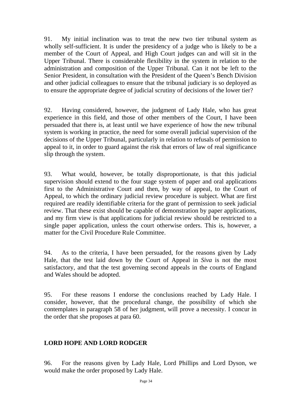91. My initial inclination was to treat the new two tier tribunal system as wholly self-sufficient. It is under the presidency of a judge who is likely to be a member of the Court of Appeal, and High Court judges can and will sit in the Upper Tribunal. There is considerable flexibility in the system in relation to the administration and composition of the Upper Tribunal. Can it not be left to the Senior President, in consultation with the President of the Queen's Bench Division and other judicial colleagues to ensure that the tribunal judiciary is so deployed as to ensure the appropriate degree of judicial scrutiny of decisions of the lower tier?

92. Having considered, however, the judgment of Lady Hale, who has great experience in this field, and those of other members of the Court, I have been persuaded that there is, at least until we have experience of how the new tribunal system is working in practice, the need for some overall judicial supervision of the decisions of the Upper Tribunal, particularly in relation to refusals of permission to appeal to it, in order to guard against the risk that errors of law of real significance slip through the system.

93. What would, however, be totally disproportionate, is that this judicial supervision should extend to the four stage system of paper and oral applications first to the Administrative Court and then, by way of appeal, to the Court of Appeal, to which the ordinary judicial review procedure is subject. What are first required are readily identifiable criteria for the grant of permission to seek judicial review. That these exist should be capable of demonstration by paper applications, and my firm view is that applications for judicial review should be restricted to a single paper application, unless the court otherwise orders. This is, however, a matter for the Civil Procedure Rule Committee.

94. As to the criteria, I have been persuaded, for the reasons given by Lady Hale, that the test laid down by the Court of Appeal in *Siva* is not the most satisfactory, and that the test governing second appeals in the courts of England and Wales should be adopted.

95. For these reasons I endorse the conclusions reached by Lady Hale. I consider, however, that the procedural change, the possibility of which she contemplates in paragraph 58 of her judgment, will prove a necessity. I concur in the order that she proposes at para 60.

# **LORD HOPE AND LORD RODGER**

96. For the reasons given by Lady Hale, Lord Phillips and Lord Dyson, we would make the order proposed by Lady Hale.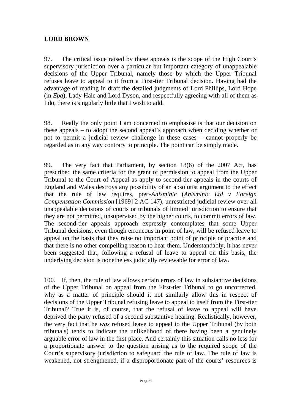# **LORD BROWN**

97. The critical issue raised by these appeals is the scope of the High Court's supervisory jurisdiction over a particular but important category of unappealable decisions of the Upper Tribunal, namely those by which the Upper Tribunal refuses leave to appeal to it from a First-tier Tribunal decision. Having had the advantage of reading in draft the detailed judgments of Lord Phillips, Lord Hope (in *Eba*), Lady Hale and Lord Dyson, and respectfully agreeing with all of them as I do, there is singularly little that I wish to add.

98. Really the only point I am concerned to emphasise is that our decision on these appeals – to adopt the second appeal's approach when deciding whether or not to permit a judicial review challenge in these cases – cannot properly be regarded as in any way contrary to principle. The point can be simply made.

99. The very fact that Parliament, by section 13(6) of the 2007 Act, has prescribed the same criteria for the grant of permission to appeal from the Upper Tribunal to the Court of Appeal as apply to second-tier appeals in the courts of England and Wales destroys any possibility of an absolutist argument to the effect that the rule of law requires, post-*Anisminic* (*Anisminic Ltd v Foreign Compensation Commission* [1969] 2 AC 147), unrestricted judicial review over all unappealable decisions of courts or tribunals of limited jurisdiction to ensure that they are not permitted, unsupervised by the higher courts, to commit errors of law. The second-tier appeals approach expressly contemplates that some Upper Tribunal decisions, even though erroneous in point of law, will be refused leave to appeal on the basis that they raise no important point of principle or practice and that there is no other compelling reason to hear them. Understandably, it has never been suggested that, following a refusal of leave to appeal on this basis, the underlying decision is nonetheless judicially reviewable for error of law.

100. If, then, the rule of law allows certain errors of law in substantive decisions of the Upper Tribunal on appeal from the First-tier Tribunal to go uncorrected, why as a matter of principle should it not similarly allow this in respect of decisions of the Upper Tribunal refusing leave to appeal to itself from the First-tier Tribunal? True it is, of course, that the refusal of leave to appeal will have deprived the party refused of a second substantive hearing. Realistically, however, the very fact that he *was* refused leave to appeal to the Upper Tribunal (by both tribunals) tends to indicate the unlikelihood of there having been a genuinely arguable error of law in the first place. And certainly this situation calls no less for a proportionate answer to the question arising as to the required scope of the Court's supervisory jurisdiction to safeguard the rule of law. The rule of law is weakened, not strengthened, if a disproportionate part of the courts' resources is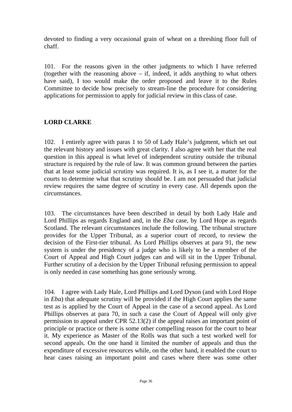devoted to finding a very occasional grain of wheat on a threshing floor full of chaff.

101. For the reasons given in the other judgments to which I have referred (together with the reasoning above – if, indeed, it adds anything to what others have said), I too would make the order proposed and leave it to the Rules Committee to decide how precisely to stream-line the procedure for considering applications for permission to apply for judicial review in this class of case.

# **LORD CLARKE**

102. I entirely agree with paras 1 to 50 of Lady Hale's judgment, which set out the relevant history and issues with great clarity. I also agree with her that the real question in this appeal is what level of independent scrutiny outside the tribunal structure is required by the rule of law. It was common ground between the parties that at least some judicial scrutiny was required. It is, as I see it, a matter for the courts to determine what that scrutiny should be. I am not persuaded that judicial review requires the same degree of scrutiny in every case. All depends upon the circumstances.

103. The circumstances have been described in detail by both Lady Hale and Lord Phillips as regards England and, in the *Eba* case, by Lord Hope as regards Scotland. The relevant circumstances include the following. The tribunal structure provides for the Upper Tribunal, as a superior court of record, to review the decision of the First-tier tribunal. As Lord Phillips observes at para 91, the new system is under the presidency of a judge who is likely to be a member of the Court of Appeal and High Court judges can and will sit in the Upper Tribunal. Further scrutiny of a decision by the Upper Tribunal refusing permission to appeal is only needed in case something has gone seriously wrong.

104. I agree with Lady Hale, Lord Phillips and Lord Dyson (and with Lord Hope in *Eba*) that adequate scrutiny will be provided if the High Court applies the same test as is applied by the Court of Appeal in the case of a second appeal. As Lord Phillips observes at para 70, in such a case the Court of Appeal will only give permission to appeal under CPR 52.13(2) if the appeal raises an important point of principle or practice or there is some other compelling reason for the court to hear it. My experience as Master of the Rolls was that such a test worked well for second appeals. On the one hand it limited the number of appeals and thus the expenditure of excessive resources while, on the other hand, it enabled the court to hear cases raising an important point and cases where there was some other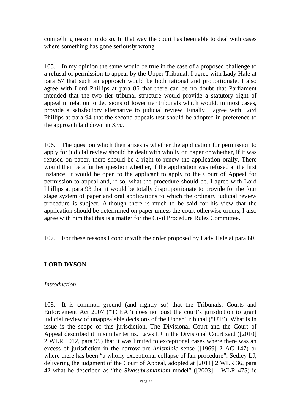compelling reason to do so. In that way the court has been able to deal with cases where something has gone seriously wrong.

105. In my opinion the same would be true in the case of a proposed challenge to a refusal of permission to appeal by the Upper Tribunal. I agree with Lady Hale at para 57 that such an approach would be both rational and proportionate. I also agree with Lord Phillips at para 86 that there can be no doubt that Parliament intended that the two tier tribunal structure would provide a statutory right of appeal in relation to decisions of lower tier tribunals which would, in most cases, provide a satisfactory alternative to judicial review. Finally I agree with Lord Phillips at para 94 that the second appeals test should be adopted in preference to the approach laid down in *Siva*.

106. The question which then arises is whether the application for permission to apply for judicial review should be dealt with wholly on paper or whether, if it was refused on paper, there should be a right to renew the application orally. There would then be a further question whether, if the application was refused at the first instance, it would be open to the applicant to apply to the Court of Appeal for permission to appeal and, if so, what the procedure should be. I agree with Lord Phillips at para 93 that it would be totally disproportionate to provide for the four stage system of paper and oral applications to which the ordinary judicial review procedure is subject. Although there is much to be said for his view that the application should be determined on paper unless the court otherwise orders, I also agree with him that this is a matter for the Civil Procedure Rules Committee.

107. For these reasons I concur with the order proposed by Lady Hale at para 60.

#### **LORD DYSON**

#### *Introduction*

108. It is common ground (and rightly so) that the Tribunals, Courts and Enforcement Act 2007 ("TCEA") does not oust the court's jurisdiction to grant judicial review of unappealable decisions of the Upper Tribunal ("UT"). What is in issue is the scope of this jurisdiction. The Divisional Court and the Court of Appeal described it in similar terms. Laws LJ in the Divisional Court said ([2010] 2 WLR 1012, para 99) that it was limited to exceptional cases where there was an excess of jurisdiction in the narrow pre-*Anisminic* sense ([1969] 2 AC 147) or where there has been "a wholly exceptional collapse of fair procedure". Sedley LJ, delivering the judgment of the Court of Appeal, adopted at [2011] 2 WLR 36, para 42 what he described as "the *Sivasubramaniam* model" ([2003] 1 WLR 475) ie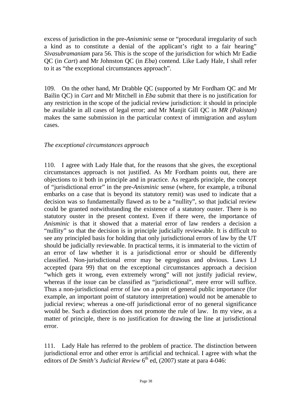excess of jurisdiction in the pre-*Anisminic* sense or "procedural irregularity of such a kind as to constitute a denial of the applicant's right to a fair hearing" *Sivasubramaniam* para 56. This is the scope of the jurisdiction for which Mr Eadie QC (in *Cart*) and Mr Johnston QC (in *Eba*) contend. Like Lady Hale, I shall refer to it as "the exceptional circumstances approach".

109. On the other hand, Mr Drabble QC (supported by Mr Fordham QC and Mr Bailin QC) in *Cart* and Mr Mitchell in *Eba* submit that there is no justification for any restriction in the scope of the judicial review jurisdiction: it should in principle be available in all cases of legal error; and Mr Manjit Gill QC in *MR (Pakistan)*  makes the same submission in the particular context of immigration and asylum cases.

#### *The exceptional circumstances approach*

110. I agree with Lady Hale that, for the reasons that she gives, the exceptional circumstances approach is not justified. As Mr Fordham points out, there are objections to it both in principle and in practice. As regards principle, the concept of "jurisdictional error" in the pre-*Anisminic* sense (where, for example, a tribunal embarks on a case that is beyond its statutory remit) was used to indicate that a decision was so fundamentally flawed as to be a "nullity", so that judicial review could be granted notwithstanding the existence of a statutory ouster. There is no statutory ouster in the present context. Even if there were, the importance of *Anisminic* is that it showed that a material error of law renders a decision a "nullity" so that the decision is in principle judicially reviewable. It is difficult to see any principled basis for holding that only jurisdictional errors of law by the UT should be judicially reviewable. In practical terms, it is immaterial to the victim of an error of law whether it is a jurisdictional error or should be differently classified. Non-jurisdictional error may be egregious and obvious. Laws LJ accepted (para 99) that on the exceptional circumstances approach a decision "which gets it wrong, even extremely wrong" will not justify judicial review, whereas if the issue can be classified as "jurisdictional", mere error will suffice. Thus a non-jurisdictional error of law on a point of general public importance (for example, an important point of statutory interpretation) would not be amenable to judicial review; whereas a one-off jurisdictional error of no general significance would be. Such a distinction does not promote the rule of law. In my view, as a matter of principle, there is no justification for drawing the line at jurisdictional error.

111. Lady Hale has referred to the problem of practice. The distinction between jurisdictional error and other error is artificial and technical. I agree with what the editors of *De Smith's Judicial Review* 6<sup>th</sup> ed, (2007) state at para 4-046: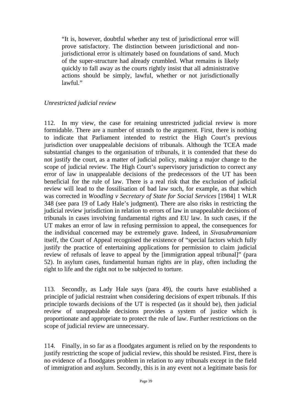"It is, however, doubtful whether any test of jurisdictional error will prove satisfactory. The distinction between jurisdictional and nonjurisdictional error is ultimately based on foundations of sand. Much of the super-structure had already crumbled. What remains is likely quickly to fall away as the courts rightly insist that all administrative actions should be simply, lawful, whether or not jurisdictionally lawful."

#### *Unrestricted judicial review*

112. In my view, the case for retaining unrestricted judicial review is more formidable. There are a number of strands to the argument. First, there is nothing to indicate that Parliament intended to restrict the High Court's previous jurisdiction over unappealable decisions of tribunals. Although the TCEA made substantial changes to the organisation of tribunals, it is contended that these do not justify the court, as a matter of judicial policy, making a major change to the scope of judicial review. The High Court's supervisory jurisdiction to correct any error of law in unappealable decisions of the predecessors of the UT has been beneficial for the rule of law. There is a real risk that the exclusion of judicial review will lead to the fossilisation of bad law such, for example, as that which was corrected in *Woodling v Secretary of State for Social Services* [1984] 1 WLR 348 (see para 19 of Lady Hale's judgment). There are also risks in restricting the judicial review jurisdiction in relation to errors of law in unappealable decisions of tribunals in cases involving fundamental rights and EU law. In such cases, if the UT makes an error of law in refusing permission to appeal, the consequences for the individual concerned may be extremely grave. Indeed, in *Sivasubramaniam*  itself, the Court of Appeal recognised the existence of "special factors which fully justify the practice of entertaining applications for permission to claim judicial review of refusals of leave to appeal by the [immigration appeal tribunal]" (para 52). In asylum cases, fundamental human rights are in play, often including the right to life and the right not to be subjected to torture.

113. Secondly, as Lady Hale says (para 49), the courts have established a principle of judicial restraint when considering decisions of expert tribunals. If this principle towards decisions of the UT is respected (as it should be), then judicial review of unappealable decisions provides a system of justice which is proportionate and appropriate to protect the rule of law. Further restrictions on the scope of judicial review are unnecessary.

114. Finally, in so far as a floodgates argument is relied on by the respondents to justify restricting the scope of judicial review, this should be resisted. First, there is no evidence of a floodgates problem in relation to any tribunals except in the field of immigration and asylum. Secondly, this is in any event not a legitimate basis for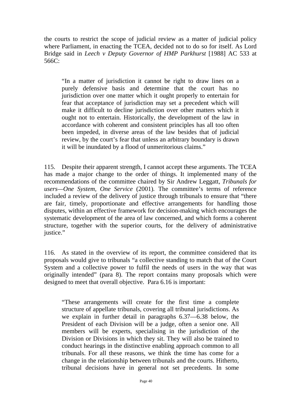the courts to restrict the scope of judicial review as a matter of judicial policy where Parliament, in enacting the TCEA, decided not to do so for itself. As Lord Bridge said in *Leech v Deputy Governor of HMP Parkhurst* [1988] AC 533 at 566C:

"In a matter of jurisdiction it cannot be right to draw lines on a purely defensive basis and determine that the court has no jurisdiction over one matter which it ought properly to entertain for fear that acceptance of jurisdiction may set a precedent which will make it difficult to decline jurisdiction over other matters which it ought not to entertain. Historically, the development of the law in accordance with coherent and consistent principles has all too often been impeded, in diverse areas of the law besides that of judicial review, by the court's fear that unless an arbitrary boundary is drawn it will be inundated by a flood of unmeritorious claims."

115. Despite their apparent strength, I cannot accept these arguments. The TCEA has made a major change to the order of things. It implemented many of the recommendations of the committee chaired by Sir Andrew Leggatt, *Tribunals for users—One System, One Service* (2001)*.* The committee's terms of reference included a review of the delivery of justice through tribunals to ensure that "there are fair, timely, proportionate and effective arrangements for handling those disputes, within an effective framework for decision-making which encourages the systematic development of the area of law concerned, and which forms a coherent structure, together with the superior courts, for the delivery of administrative justice."

116. As stated in the overview of its report, the committee considered that its proposals would give to tribunals "a collective standing to match that of the Court System and a collective power to fulfil the needs of users in the way that was originally intended" (para 8). The report contains many proposals which were designed to meet that overall objective. Para 6.16 is important:

"These arrangements will create for the first time a complete structure of appellate tribunals, covering all tribunal jurisdictions. As we explain in further detail in paragraphs 6.37—6.38 below, the President of each Division will be a judge, often a senior one. All members will be experts, specialising in the jurisdiction of the Division or Divisions in which they sit. They will also be trained to conduct hearings in the distinctive enabling approach common to all tribunals. For all these reasons, we think the time has come for a change in the relationship between tribunals and the courts. Hitherto, tribunal decisions have in general not set precedents. In some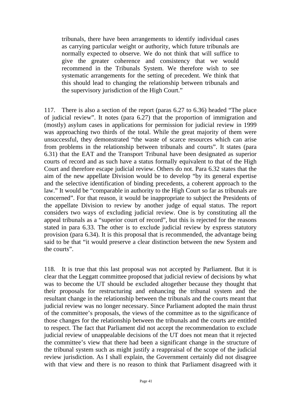tribunals, there have been arrangements to identify individual cases as carrying particular weight or authority, which future tribunals are normally expected to observe. We do not think that will suffice to give the greater coherence and consistency that we would recommend in the Tribunals System. We therefore wish to see systematic arrangements for the setting of precedent. We think that this should lead to changing the relationship between tribunals and the supervisory jurisdiction of the High Court."

117. There is also a section of the report (paras 6.27 to 6.36) headed "The place of judicial review". It notes (para 6.27) that the proportion of immigration and (mostly) asylum cases in applications for permission for judicial review in 1999 was approaching two thirds of the total. While the great majority of them were unsuccessful, they demonstrated "the waste of scarce resources which can arise from problems in the relationship between tribunals and courts". It states (para 6.31) that the EAT and the Transport Tribunal have been designated as superior courts of record and as such have a status formally equivalent to that of the High Court and therefore escape judicial review. Others do not. Para 6.32 states that the aim of the new appellate Division would be to develop "by its general expertise and the selective identification of binding precedents, a coherent approach to the law." It would be "comparable in authority to the High Court so far as tribunals are concerned". For that reason, it would be inappropriate to subject the Presidents of the appellate Division to review by another judge of equal status. The report considers two ways of excluding judicial review. One is by constituting all the appeal tribunals as a "superior court of record", but this is rejected for the reasons stated in para 6.33. The other is to exclude judicial review by express statutory provision (para 6.34). It is this proposal that is recommended, the advantage being said to be that "it would preserve a clear distinction between the new System and the courts".

118. It is true that this last proposal was not accepted by Parliament. But it is clear that the Leggatt committee proposed that judicial review of decisions by what was to become the UT should be excluded altogether because they thought that their proposals for restructuring and enhancing the tribunal system and the resultant change in the relationship between the tribunals and the courts meant that judicial review was no longer necessary. Since Parliament adopted the main thrust of the committee's proposals, the views of the committee as to the significance of those changes for the relationship between the tribunals and the courts are entitled to respect. The fact that Parliament did not accept the recommendation to exclude judicial review of unappealable decisions of the UT does not mean that it rejected the committee's view that there had been a significant change in the structure of the tribunal system such as might justify a reappraisal of the scope of the judicial review jurisdiction. As I shall explain, the Government certainly did not disagree with that view and there is no reason to think that Parliament disagreed with it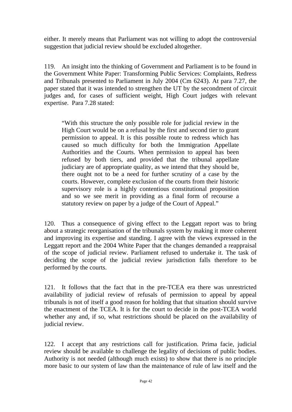either. It merely means that Parliament was not willing to adopt the controversial suggestion that judicial review should be excluded altogether.

119. An insight into the thinking of Government and Parliament is to be found in the Government White Paper: Transforming Public Services: Complaints, Redress and Tribunals presented to Parliament in July 2004 (Cm 6243). At para 7.27, the paper stated that it was intended to strengthen the UT by the secondment of circuit judges and, for cases of sufficient weight, High Court judges with relevant expertise. Para 7.28 stated:

"With this structure the only possible role for judicial review in the High Court would be on a refusal by the first and second tier to grant permission to appeal. It is this possible route to redress which has caused so much difficulty for both the Immigration Appellate Authorities and the Courts. When permission to appeal has been refused by both tiers, and provided that the tribunal appellate judiciary are of appropriate quality, as we intend that they should be, there ought not to be a need for further scrutiny of a case by the courts. However, complete exclusion of the courts from their historic supervisory role is a highly contentious constitutional proposition and so we see merit in providing as a final form of recourse a statutory review on paper by a judge of the Court of Appeal."

120. Thus a consequence of giving effect to the Leggatt report was to bring about a strategic reorganisation of the tribunals system by making it more coherent and improving its expertise and standing. I agree with the views expressed in the Leggatt report and the 2004 White Paper that the changes demanded a reappraisal of the scope of judicial review. Parliament refused to undertake it. The task of deciding the scope of the judicial review jurisdiction falls therefore to be performed by the courts.

121. It follows that the fact that in the pre-TCEA era there was unrestricted availability of judicial review of refusals of permission to appeal by appeal tribunals is not of itself a good reason for holding that that situation should survive the enactment of the TCEA. It is for the court to decide in the post-TCEA world whether any and, if so, what restrictions should be placed on the availability of judicial review.

122. I accept that any restrictions call for justification. Prima facie, judicial review should be available to challenge the legality of decisions of public bodies. Authority is not needed (although much exists) to show that there is no principle more basic to our system of law than the maintenance of rule of law itself and the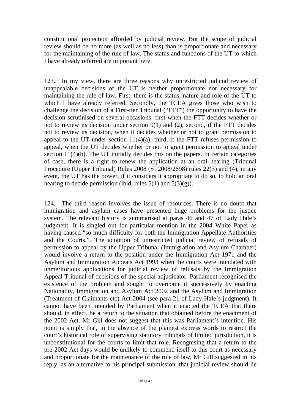constitutional protection afforded by judicial review. But the scope of judicial review should be no more (as well as no less) than is proportionate and necessary for the maintaining of the rule of law. The status and functions of the UT to which I have already referred are important here.

123. In my view, there are three reasons why unrestricted judicial review of unappealable decisions of the UT is neither proportionate nor necessary for maintaining the rule of law. First, there is the status, nature and role of the UT to which I have already referred. Secondly, the TCEA gives those who wish to challenge the decision of a First-tier Tribunal ("FTT") the opportunity to have the decision scrutinised on several occasions: first when the FTT decides whether or not to review its decision under section 9(1) and (2); second, if the FTT decides not to review its decision, when it decides whether or not to grant permission to appeal to the UT under section  $11(4)(a)$ ; third, if the FTT refuses permission to appeal, when the UT decides whether or not to grant permission to appeal under section 11(4)(b). The UT initially decides this on the papers. In certain categories of case, there is a right to renew the application at an oral hearing (Tribunal Procedure (Upper Tribunal) Rules 2008 (SI 2008/2698) rules 22(3) and (4); in any event, the UT has the power, if it considers it appropriate to do so, to hold an oral hearing to decide permission (ibid, rules  $5(1)$  and  $5(3)(g)$ ).

124. The third reason involves the issue of resources. There is no doubt that immigration and asylum cases have presented huge problems for the justice system. The relevant history is summarised at paras 46 and 47 of Lady Hale's judgment. It is singled out for particular mention in the 2004 White Paper as having caused "so much difficulty for both the Immigration Appellate Authorities and the Courts.". The adoption of unrestricted judicial review of refusals of permission to appeal by the Upper Tribunal (Immigration and Asylum Chamber) would involve a return to the position under the Immigration Act 1971 and the Asylum and Immigration Appeals Act 1993 when the courts were inundated with unmeritorious applications for judicial review of refusals by the Immigration Appeal Tribunal of decisions of the special adjudicator. Parliament recognised the existence of the problem and sought to overcome it successively by enacting Nationality, Immigration and Asylum Act 2002 and the Asylum and Immigration (Treatment of Claimants etc) Act 2004 (see para 21 of Lady Hale's judgment). It cannot have been intended by Parliament when it enacted the TCEA that there should, in effect, be a return to the situation that obtained before the enactment of the 2002 Act. Mr Gill does not suggest that this was Parliament's intention. His point is simply that, in the absence of the plainest express words to restrict the court's historical role of supervising statutory tribunals of limited jurisdiction, it is unconstitutional for the courts to limit that role. Recognising that a return to the pre-2002 Act days would be unlikely to commend itself to this court as necessary and proportionate for the maintenance of the rule of law, Mr Gill suggested in his reply, as an alternative to his principal submission, that judicial review should lie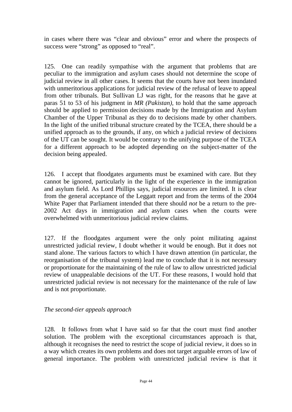in cases where there was "clear and obvious" error and where the prospects of success were "strong" as opposed to "real".

125. One can readily sympathise with the argument that problems that are peculiar to the immigration and asylum cases should not determine the scope of judicial review in all other cases. It seems that the courts have not been inundated with unmeritorious applications for judicial review of the refusal of leave to appeal from other tribunals. But Sullivan LJ was right, for the reasons that he gave at paras 51 to 53 of his judgment in *MR (Pakistan),* to hold that the same approach should be applied to permission decisions made by the Immigration and Asylum Chamber of the Upper Tribunal as they do to decisions made by other chambers. In the light of the unified tribunal structure created by the TCEA, there should be a unified approach as to the grounds, if any, on which a judicial review of decisions of the UT can be sought. It would be contrary to the unifying purpose of the TCEA for a different approach to be adopted depending on the subject-matter of the decision being appealed.

126. I accept that floodgates arguments must be examined with care. But they cannot be ignored, particularly in the light of the experience in the immigration and asylum field. As Lord Phillips says, judicial resources are limited. It is clear from the general acceptance of the Leggatt report and from the terms of the 2004 White Paper that Parliament intended that there should *not* be a return to the pre-2002 Act days in immigration and asylum cases when the courts were overwhelmed with unmeritorious judicial review claims.

127. If the floodgates argument were the only point militating against unrestricted judicial review, I doubt whether it would be enough. But it does not stand alone. The various factors to which I have drawn attention (in particular, the reorganisation of the tribunal system) lead me to conclude that it is not necessary or proportionate for the maintaining of the rule of law to allow unrestricted judicial review of unappealable decisions of the UT. For these reasons, I would hold that unrestricted judicial review is not necessary for the maintenance of the rule of law and is not proportionate.

#### *The second-tier appeals approach*

128. It follows from what I have said so far that the court must find another solution. The problem with the exceptional circumstances approach is that, although it recognises the need to restrict the scope of judicial review, it does so in a way which creates its own problems and does not target arguable errors of law of general importance. The problem with unrestricted judicial review is that it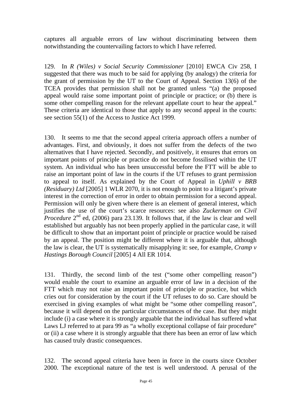captures all arguable errors of law without discriminating between them notwithstanding the countervailing factors to which I have referred.

129. In *R (Wiles) v Social Security Commissioner* [2010] EWCA Civ 258, I suggested that there was much to be said for applying (by analogy) the criteria for the grant of permission by the UT to the Court of Appeal. Section 13(6) of the TCEA provides that permission shall not be granted unless "(a) the proposed appeal would raise some important point of principle or practice; or (b) there is some other compelling reason for the relevant appellate court to hear the appeal." These criteria are identical to those that apply to any second appeal in the courts: see section 55(1) of the Access to Justice Act 1999.

130. It seems to me that the second appeal criteria approach offers a number of advantages. First, and obviously, it does not suffer from the defects of the two alternatives that I have rejected. Secondly, and positively, it ensures that errors on important points of principle or practice do not become fossilised within the UT system. An individual who has been unsuccessful before the FTT will be able to raise an important point of law in the courts if the UT refuses to grant permission to appeal to itself. As explained by the Court of Appeal in *Uphill v BRB (Residuary) Ltd* [2005] 1 WLR 2070, it is not enough to point to a litigant's private interest in the correction of error in order to obtain permission for a second appeal. Permission will only be given where there is an element of general interest, which justifies the use of the court's scarce resources: see also *Zuckerman on Civil Procedure*  $2<sup>nd</sup>$  ed, (2006) para 23.139. It follows that, if the law is clear and well established but arguably has not been properly applied in the particular case, it will be difficult to show that an important point of principle or practice would be raised by an appeal. The position might be different where it is arguable that, although the law is clear, the UT is systematically misapplying it: see, for example, *Cramp v Hastings Borough Council* [2005] 4 All ER 1014.

131. Thirdly, the second limb of the test ("some other compelling reason") would enable the court to examine an arguable error of law in a decision of the FTT which may not raise an important point of principle or practice, but which cries out for consideration by the court if the UT refuses to do so. Care should be exercised in giving examples of what might be "some other compelling reason", because it will depend on the particular circumstances of the case. But they might include (i) a case where it is strongly arguable that the individual has suffered what Laws LJ referred to at para 99 as "a wholly exceptional collapse of fair procedure" or (ii) a case where it is strongly arguable that there has been an error of law which has caused truly drastic consequences.

132. The second appeal criteria have been in force in the courts since October 2000. The exceptional nature of the test is well understood. A perusal of the